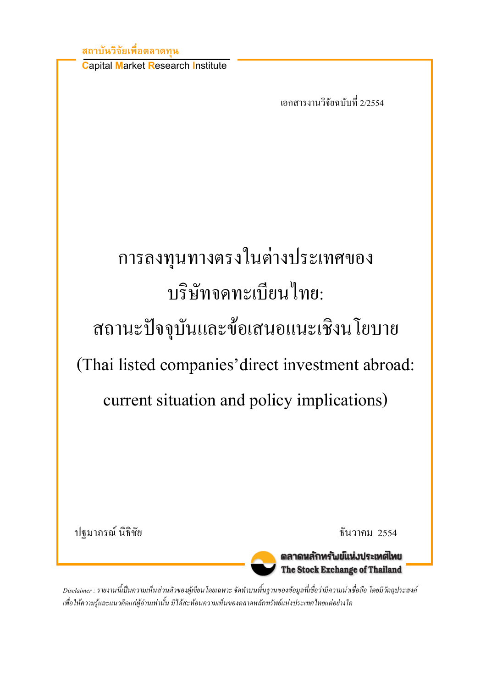#### ิสถาบันวิจัยเพื่อตลาดทน

**Capital Market Research Institute** 

เอกสารงานวิจัยฉบับที่ 2/2554

# ิการลงทุนทางตรงในต่างประเทศของ บริษัทจดทะเบียนไทย: สถานะปัจจุบันและข้อเสนอแนะเชิงนโยบาย (Thai listed companies' direct investment abroad: current situation and policy implications)

ปจมาภรณ์ นิธิชัย

<u>ชั้นวาคม 2554</u>



ตลาดหลักทรัพย์แห่งประเทศไทย The Stock Exchange of Thailand

Disclaimer : รายงานนี้เป็นความเห็นส่วนตัวของผู้เขียนโดยเฉพาะ จัดทำบนพื้นฐานของข้อมูลที่เชื่อว่ามีความน่าเชื่อถือ โดยมีวัตถุประสงค์ เพื่อให้ความรู้และแนวคิดแก่ผู้อ่านเท่านั้น มิได้สะท้อนความเห็นของตลาดหลักทรัพย์แห่งประเทศไทยแต่อย่างใด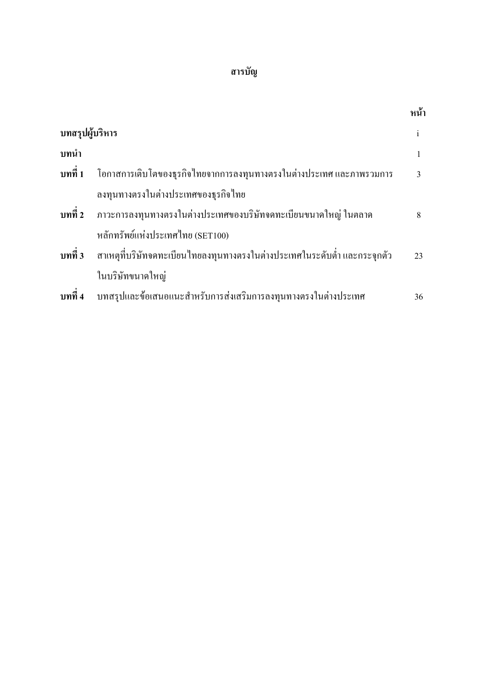### สารบัญ

|                 |                                                                                           | หน้า         |
|-----------------|-------------------------------------------------------------------------------------------|--------------|
| บทสรุปผู้บริหาร |                                                                                           | $\mathbf{i}$ |
| บทนำ            |                                                                                           |              |
|                 | <mark>บทที่ 1</mark> โอกาสการเติบโตของธุรกิจไทยจากการลงทุนทางตรงในต่างประเทศ และภาพรวมการ | 3            |
|                 | ลงทุนทางตรงในต่างประเทศของธุรกิจไทย                                                       |              |
|                 | บทที่ 2 ภาวะการลงทุนทางตรงในต่างประเทศของบริษัทจดทะเบียนขนาดใหญ่ ในตลาด                   | 8            |
|                 | หลักทรัพย์แห่งประเทศไทย (SET100)                                                          |              |
|                 | <b>ิบทที่ 3</b> สาเหตุที่บริษัทจดทะเบียนไทยลงทุนทางตรงในต่างประเทศในระดับต่ำ และกระจุกตัว | 23           |
|                 | ในบริษัทขนาดใหญ่                                                                          |              |
| บทที่ 4         | บทสรุปและข้อเสนอแนะสำหรับการส่งเสริมการลงทุนทางตรงในต่างประเทศ                            | 36           |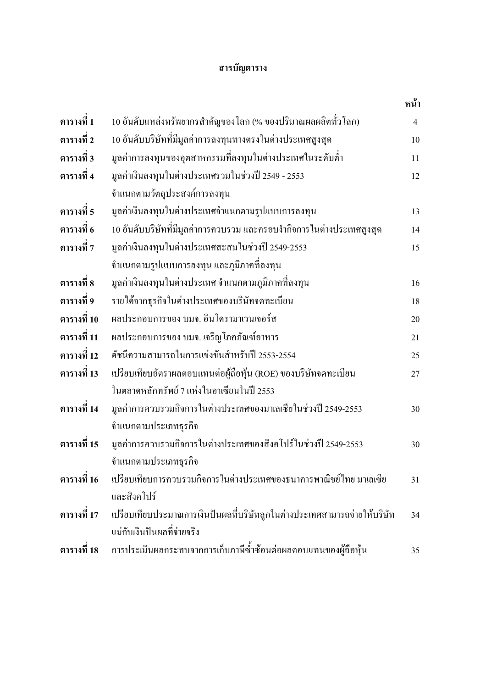#### สารบัญตาราง

|               |                                                                          | หน้า           |
|---------------|--------------------------------------------------------------------------|----------------|
| ตารางที่ 1    | 10 อันดับแหล่งทรัพยากรสำคัญของโลก (% ของปริมาณผลผลิตทั่วโลก)             | $\overline{4}$ |
| ตารางที่ 2    | 10 อันดับบริษัทที่มีมูลค่าการลงทุนทางตรงในต่างประเทศสูงสุด               | 10             |
| ตารางที่ 3    | มูลค่าการลงทุนของอุตสาหกรรมที่ลงทุนในต่างประเทศในระดับต่ำ                | 11             |
| ิตารางที่ 4   | มูลค่าเงินลงทุนในต่างประเทศรวมในช่วงปี 2549 - 2553                       | 12             |
|               | จำแนกตามวัตถุประสงค์การลงทุน                                             |                |
| ตารางที่ 5    | มูลค่าเงินลงทุนในต่างประเทศจำแนกตามรูปแบบการลงทุน                        | 13             |
| ี่ ตารางที่ 6 | 10 อันดับบริษัทที่มีมูลค่าการควบรวม และครอบงำกิจการในต่างประเทศสูงสุด    | 14             |
| ิตารางที่ 7   | มูลค่าเงินลงทุนในต่างประเทศสะสมในช่วงปี 2549-2553                        | 15             |
|               | จำแนกตามรูปแบบการลงทุน และภูมิภาคที่ลงทุน                                |                |
| ิตารางที่ 8   | มูลค่าเงินลงทุนในต่างประเทศ จำแนกตามภูมิภาคที่ลงทุน                      | 16             |
| ตารางที่ 9    | รายใค้จากธุรกิจในต่างประเทศของบริษัทจดทะเบียน                            | 18             |
| ิตารางที่ 10  | ผลประกอบการของ บมจ. อินโครามาเวนเจอร์ส                                   | 20             |
| ิตารางที่ 11  | ผลประกอบการของ บมจ. เจริญโภคภัณฑ์อาหาร                                   | 21             |
| ตารางที่ 12   | ดัชนีความสามารถในการแข่งขันสำหรับปี 2553-2554                            | 25             |
| ตารางที่ 13   | เปรียบเทียบอัตราผลตอบแทนต่อผู้ถือหุ้น (ROE) ของบริษัทจดทะเบียน           | 27             |
|               | ในตลาดหลักทรัพย์ 7 แห่งในอาเซียนในปี 2553                                |                |
| ตารางที่ 14   | มูลค่าการควบรวมกิจการในต่างประเทศของมาเลเซียในช่วงปี 2549-2553           | 30             |
|               | จำแนกตามประเภทธุรกิจ                                                     |                |
| ตารางที่ 15   | มูลค่าการควบรวมกิจการในต่างประเทศของสิงคโปร์ในช่วงปี 2549-2553           | 30             |
|               | จำแนกตามประเภทธุรกิจ                                                     |                |
| ตารางที่ 16   | เปรียบเทียบการควบรวมกิจการในต่างประเทศของธนาคารพาณิชย์ไทย มาเลเซีย       | 31             |
|               | และสิงคโปร์                                                              |                |
| ิตารางที่ 17  | เปรียบเทียบประมาณการเงินปันผลที่บริษัทลูกในต่างประเทศสามารถจ่ายให้บริษัท | 34             |
|               | แม่กับเงินปันผลที่จ่ายจริง                                               |                |
| ตารางที่ 18   | การประเมินผลกระทบจากการเก็บภาษีซ้ำซ้อนต่อผลตอบแทนของผู้ถือหุ้น           | 35             |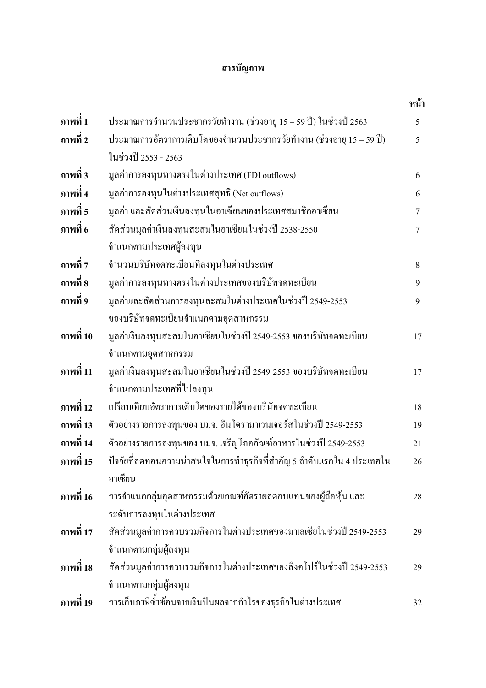#### สารบัญภาพ

|           |                                                                        | หน้า           |
|-----------|------------------------------------------------------------------------|----------------|
| ภาพที่ 1  | ประมาณการจำนวนประชากรวัยทำงาน (ช่วงอายุ 15 – 59 ปี) ในช่วงปี 2563      | 5              |
| ภาพที่ 2  | ประมาณการอัตราการเติบโตของจำนวนประชากรวัยทำงาน (ช่วงอายุ 15 – 59 ปี)   | 5              |
|           | ในช่วงปี 2553 - 2563                                                   |                |
| ภาพที่ 3  | มูลค่าการลงทุนทางตรงในต่างประเทศ (FDI outflows)                        | 6              |
| ภาพที่ 4  | มูลค่าการลงทุนในต่างประเทศสุทธิ (Net outflows)                         | 6              |
| ภาพที่ 5  | มูลค่า และสัดส่วนเงินลงทุนในอาเซียนของประเทศสมาชิกอาเซียน              | $\overline{7}$ |
| ภาพที่ 6  | สัดส่วนมูลค่าเงินลงทุนสะสมในอาเซียนในช่วงปี 2538-2550                  | $\overline{7}$ |
|           | จำแนกตามประเทศผู้ลงทุน                                                 |                |
| ภาพที่ 7  | จำนวนบริษัทจดทะเบียนที่ลงทุนในต่างประเทศ                               | 8              |
| ภาพที่ 8  | มูลค่าการลงทุนทางตรงในต่างประเทศของบริษัทจดทะเบียน                     | 9              |
| ภาพที่ 9  | มูลค่าและสัดส่วนการลงทุนสะสมในต่างประเทศในช่วงปี 2549-2553             | 9              |
|           | ของบริษัทจดทะเบียนจำแนกตามอุตสาหกรรม                                   |                |
| ภาพที่ 10 | มูลค่าเงินลงทุนสะสมในอาเซียนในช่วงปี 2549-2553 ของบริษัทจดทะเบียน      | 17             |
|           | จำแนกตามอุตสาหกรรม                                                     |                |
| ภาพที่ 11 | มูลค่าเงินลงทุนสะสมในอาเซียนในช่วงปี 2549-2553 ของบริษัทจดทะเบียน      | 17             |
|           | จำแนกตามประเทศที่ไปลงทุน                                               |                |
| ภาพที่ 12 | เปรียบเทียบอัตราการเติบโตของรายใด้ของบริษัทจดทะเบียน                   | 18             |
| ภาพที่ 13 | ตัวอย่างรายการลงทุนของ บมจ. อินโครามาเวนเจอร์สในช่วงปี 2549-2553       | 19             |
| ภาพที่ 14 | ตัวอย่างรายการลงทุนของ บมจ. เจริญโภคภัณฑ์อาหารในช่วงปี 2549-2553       | 21             |
| ภาพที่ 15 | ปัจจัยที่ลดทอนความน่าสนใจในการทำธุรกิจที่สำคัญ 5 ลำดับแรกใน 4 ประเทศใน | 26             |
|           | อาเซียน                                                                |                |
| ภาพที่ 16 | การจำแนกกลุ่มอุตสาหกรรมด้วยเกณฑ์อัตราผลตอบแทนของผู้ถือหุ้น และ         | 28             |
|           | ระดับการลงทุนในต่างประเทศ                                              |                |
| ภาพที่ 17 | สัดส่วนมูลค่าการควบรวมกิจการในต่างประเทศของมาเลเซียในช่วงปี 2549-2553  | 29             |
|           | จำแนกตามกลุ่มผู้ลงทุน                                                  |                |
| ภาพที่ 18 | สัดส่วนมูลค่าการควบรวมกิจการในต่างประเทศของสิงคโปร์ในช่วงปี 2549-2553  | 29             |
|           | จำแนกตามกลุ่มผู้ลงทุน                                                  |                |
| ภาพที่ 19 | การเก็บภาษีซ้ำซ้อนจากเงินปันผลจากกำไรของธุรกิจในต่างประเทศ             | 32             |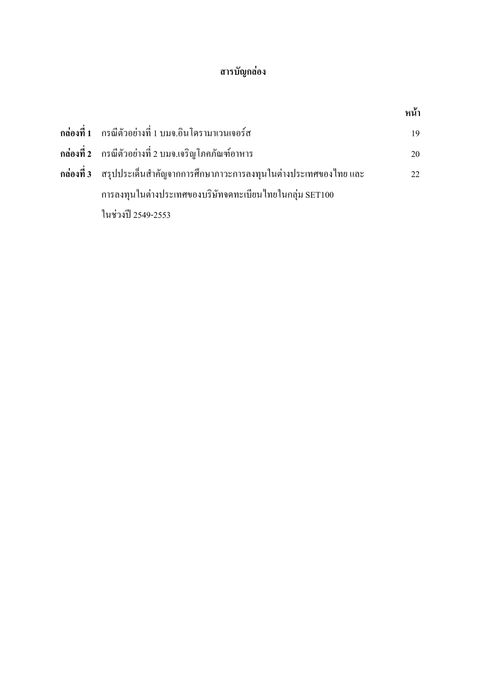### สารบัญกล่อง

|                                                                                | หน้า |
|--------------------------------------------------------------------------------|------|
| ึ กล่องที่ 1     กรณีตัวอย่างที่ 1 บมจ.อินโครามาเวนเจอร์ส                      | 19   |
| ี กล่องที่ 2     กรณีตัวอย่างที่ 2 บมจ.เจริญโภคภัณฑ์อาหาร                      | 20   |
| ึ กล่องที่ 3     สรุปประเด็นสำคัญจากการศึกษาภาวะการลงทุนในต่างประเทศของไทย และ | 22   |
| การลงทุนในต่างประเทศของบริษัทจดทะเบียนไทยในกลุ่ม SET100                        |      |
| ในช่วงปี 2549-2553                                                             |      |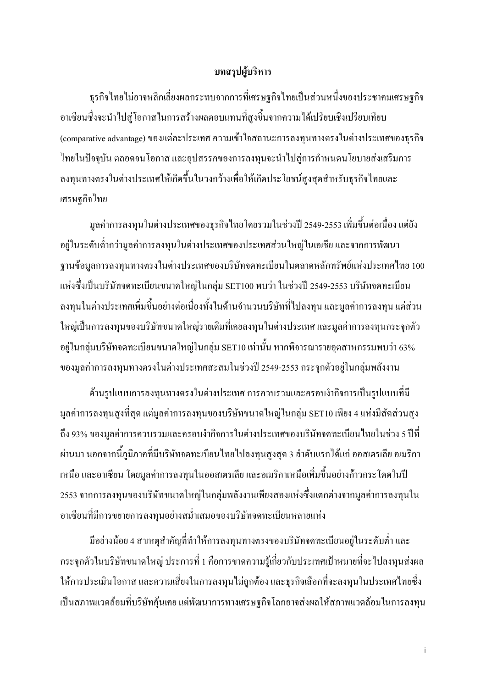#### บทสรุปผู้บริหาร

้ ธรกิจไทยไม่อาจหลีกเลี่ยงผลกระทบจากการที่เศรษฐกิจไทยเป็นส่วนหนึ่งของประชาคมเศรษฐกิจ อาเซียนซึ่งจะนำไปสู่โอกาสในการสร้างผลตอบแทนที่สูงขึ้นจากความได้เปรียบเชิงเปรียบเทียบ (comparative advantage) ของแต่ละประเทศ ความเข้าใจสถานะการลงทุนทางตรงในต่างประเทศของธุรกิจ ใทยในปัจจุบัน ตลอดจนโอกาส และอุปสรรคของการลงทุนจะนำไปสู่การกำหนดนโยบายส่งเสริมการ ิลงทุนทางตรงในต่างประเทศให้เกิดขึ้นในวงกว้างเพื่อให้เกิดประโยชน์สูงสุดสำหรับธุรกิจไทยและ เศรษจกิจไทย

มูลค่าการลงทุนในต่างประเทศของธุรกิจไทยโดยรวมในช่วงปี 2549-2553 เพิ่มขึ้นต่อเนื่อง แต่ยัง ้อยู่ในระดับต่ำกว่ามูลค่าการลงทุนในต่างประเทศของประเทศส่วนใหญ่ในเอเชีย และจากการพัฒนา ฐานข้อมูลการลงทุนทางตรงในต่างประเทศของบริษัทจดทะเบียนในตลาดหลักทรัพย์แห่งประเทศไทย 100 แห่งซึ่งเป็นบริษัทจดทะเบียนขนาดใหญ่ในกลุ่ม SET100 พบว่า ในช่วงปี 2549-2553 บริษัทจดทะเบียน ้ลงทุนในต่างประเทศเพิ่มขึ้นอย่างต่อเนื่องทั้งในด้านจำนวนบริษัทที่ไปลงทุน และมูลค่าการลงทุน แต่ส่วน ใหญ่เป็นการลงทนของบริษัทขนาดใหญ่รายเดิมที่เคยลงทนในต่างประเทศ และมลค่าการลงทนกระจกตัว ือยู่ในกลุ่มบริษัทจดทะเบียนขนาดใหญ่ในกลุ่ม SET10 เท่านั้น หากพิจารณารายอุตสาหกรรมพบว่า 63% ของมูลค่าการลงทุนทางตรงในต่างประเทศสะสมในช่วงปี 2549-2553 กระจุกตัวอยู่ในกลุ่มพลังงาน

้ด้านรูปแบบการลงทุนทางตรงในต่างประเทศ การควบรวมและครอบงำกิจการเป็นรูปแบบที่มี ้ มูลค่าการลงทุนสูงที่สุด แต่มูลค่าการลงทุนของบริษัทขนาดใหญ่ในกลุ่ม SET10 เพียง 4 แห่งมีสัดส่วนสูง ้ถึง 93% ของมูลค่าการควบรวมและครอบงำกิจการในต่างประเทศของบริษัทจดทะเบียนไทยในช่วง 5 ปีที่ ้ผ่านมา นอกจากนี้ภมิภาคที่มีบริษัทจดทะเบียนไทยไปลงทนสงสด 3 ลำดับแรกได้แก่ ออสเตรเลีย อเมริกา เหนือ และอาเซียน โดยมูลค่าการลงทุนในออสเตรเลีย และอเมริกาเหนือเพิ่มขึ้นอย่างก้าวกระโดดในปี 2553 จากการลงทุนของบริษัทขนาดใหญ่ในกลุ่มพลังงานเพียงสองแห่งซึ่งแตกต่างจากมูลค่าการลงทุนใน ้อาเซียนที่มีการขยายการลงทนอย่างสม่ำเสมอของบริษัทจดทะเบียนหลายแห่ง

้มีอย่างน้อย 4 สาเหตุสำคัญที่ทำให้การลงทนทางตรงของบริษัทจดทะเบียนอย่ในระดับต่ำ และ ้กระจุกตัวในบริษัทขนาดใหญ่ ประการที่ 1 คือการขาดความรู้เกี่ยวกับประเทศเป้าหมายที่จะไปลงทุนส่งผล ให้การประเมินโอกาส และความเสี่ยงในการลงทนไม่ถกต้อง และธรกิจเลือกที่จะลงทนในประเทศไทยซึ่ง ้เป็นสภาพแวดล้อมที่บริษัทคุ้นเคย แต่พัฒนาการทางเศรษฐกิจโลกอาจส่งผลให้สภาพแวดล้อมในการลงทุน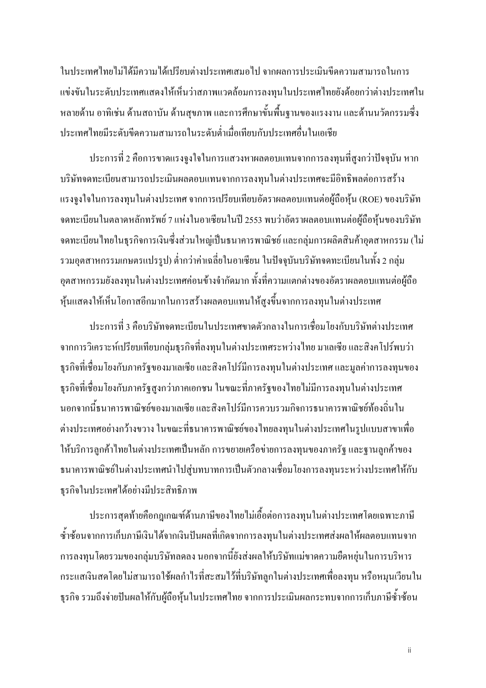ในประเทศไทยไม่ได้มีความได้เปรียบต่างประเทศเสมอไป จากผลการประเมินขีดความสามารถในการ แข่งขันในระดับประเทศแสดงให้เห็นว่าสภาพแวดล้อมการลงทุนในประเทศไทยยังด้อยกว่าต่างประเทศใน หลายด้าน อาทิเช่น ด้านสถาบัน ด้านสขภาพ และการศึกษาขั้นพื้นฐานของแรงงาน และด้านนวัตกรรมซึ่ง ำไระเทศไทยมีระดับขีดความสามารถในระดับต่ำเมื่อเทียบกับประเทศอื่นในเอเชีย

ประการที่ 2 คือการขาดแรงจูงใจในการแสวงหาผลตอบแทนจากการลงทุนที่สูงกว่าปัจจุบัน หาก บริษัทจดทะเบียนสามารถประเมินผลตอบแทนจากการลงทุนในต่างประเทศจะมีอิทธิพลต่อการสร้าง แรงจูงใจในการลงทุนในต่างประเทศ จากการเปรียบเทียบอัตราผลตอบแทนต่อผู้ถือหุ้น (ROE) ของบริษัท ึ่งคทะเบียนในตลาดหลักทรัพย์ 7 แห่งในอาเซียนในปี 2553 พบว่าอัตราผลตอบแทนต่อผู้ถือหุ้นของบริษัท ึ่งดทะเบียนไทยในธุรกิจการเงินซึ่งส่วนใหญ่เป็นธนาคารพาณิชย์ และกลุ่มการผลิตสินค้าอุตสาหกรรม (ไม่ ้รวมอุตสาหกรรมเกษตรแปรรูป) ต่ำกว่าค่าเฉลี่ยในอาเซียน ในปัจจุบันบริษัทจดทะเบียนในทั้ง 2 กลุ่ม ้อุตสาหกรรมยังลงทุนในต่างประเทศค่อนข้างจำกัดมาก ทั้งที่ความแตกต่างของอัตราผลตอบแทนต่อผู้ถือ หุ้นแสดงให้เห็นโอกาสอีกมากในการสร้างผลตอบแทนให้สูงขึ้นจากการลงทุนในต่างประเทศ

ิประการที่ 3 คือบริษัทจดทะเบียนในประเทศขาดตัวกลางในการเชื่อมโยงกับบริษัทต่างประเทศ ิจากการวิเคราะห์เปรียบเทียบกลุ่มธุรกิจที่ลงทุนในต่างประเทศระหว่างไทย มาเลเซีย และสิงคโปร์พบว่า ่ ธุรกิจที่เชื่อมโยงกับภาครัฐของมาเลเซีย และสิงคโปร์มีการลงทุนในต่างประเทศ และมูลค่าการลงทุนของ ่ ธุรกิจที่เชื่อมโยงกับภาครัฐสูงกว่าภาคเอกชน ในขณะที่ภาครัฐของไทยไม่มีการลงทุนในต่างประเทศ ้นอกจากนี้ธนาคารพาณิชย์ของมาเลเซีย และสิงคโปร์มีการควบรวมกิจการธนาคารพาณิชย์ท้องถิ่นใน ้ต่างประเทศอย่างกว้างขวาง ในขณะที่ธนาคารพาณิชย์ของไทยลงทุนในต่างประเทศในรูปแบบสาขาเพื่อ ให้บริการลูกค้าไทยในต่างประเทศเป็นหลัก การขยายเครือข่ายการลงทุนของภาครัฐ และฐานลูกค้าของ ึธนาคารพาณิชย์ในต่างประเทศนำไปส่บทบาทการเป็นตัวกลางเชื่อมโยงการลงทนระหว่างประเทศให้กับ ธุรกิจในประเทศได้อย่างมีประสิทธิภาพ

้ ประการสดท้ายคือกฎเกณฑ์ด้านภาษีของไทยไม่เอื้อต่อการลงทนในต่างประเทศโดยเฉพาะภาษี ซ้ำซ้อนจากการเก็บภาษีเงินได้จากเงินปันผลที่เกิดจากการลงทุนในต่างประเทศส่งผลให้ผลตอบแทนจาก ี การลงทุนโดยรวมของกลุ่มบริษัทลดลง นอกจากนี้ยังส่งผลให้บริษัทแม่ขาดความยืดหยุ่นในการบริหาร ้กระแสเงินสดโดยไม่สามารถใช้ผลกำไรที่สะสมไว้ที่บริษัทลกในต่างประเทศเพื่อลงทน หรือหมนเวียนใน ธุรกิจ รวมถึงจ่ายปันผลให้กับผู้ถือหุ้นในประเทศไทย จากการประเมินผลกระทบจากการเก็บภาษีซ้ำซ้อน

ii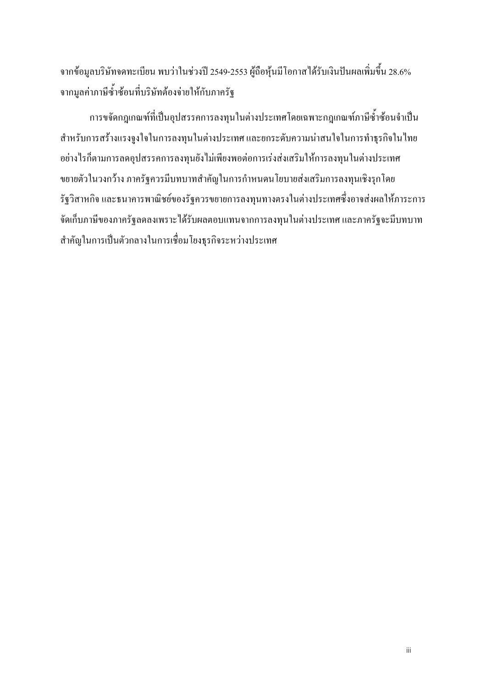จากข้อมูลบริษัทจดทะเบียน พบว่าในช่วงปี 2549-2553 ผู้ถือหุ้นมีโอกาสได้รับเงินปันผลเพิ่มขึ้น 28.6% จากมูลค่าภาษีซ้ำซ้อนที่บริษัทต้องจ่ายให้กับภาครัฐ

ึการขจัดกฎเกณฑ์ที่เป็นอุปสรรคการลงทุนในต่างประเทศโดยเฉพาะกฎเกณฑ์ภาษีซ้ำซ้อนจำเป็น ี่ สำหรับการสร้างแรงจูงใจในการลงทุนในต่างประเทศ และยกระดับความน่าสนใจในการทำธุรกิจในไทย อย่างไรก็ตามการลดอุปสรรคการลงทุนยังไม่เพียงพอต่อการเร่งส่งเสริมให้การลงทุนในต่างประเทศ ึ่งยายตัวในวงกว้าง ภาครัฐควรมีบทบาทสำคัญในการกำหนดนโยบายส่งเสริมการลงทุนเชิงรุกโดย รัฐวิสาหกิจ และธนาคารพาณิชย์ของรัฐควรขยายการลงทุนทางตรงในต่างประเทศซึ่งอาจส่งผลให้ภาระการ จัดเกี่บภาษีของภาครัฐลดลงเพราะ ได้รับผลตอบแทนจากการลงทุนในต่างประเทศ และภาครัฐจะมีบทบาท ี สำคัญในการเป็นตัวกลางในการเชื่อมโยงธุรกิจระหว่างประเทศ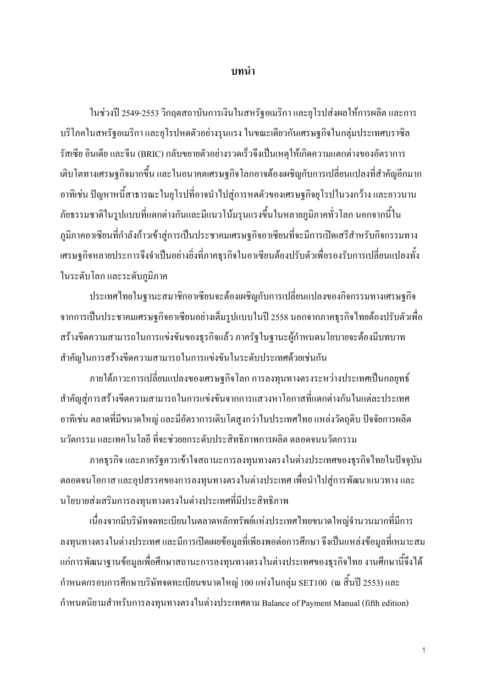#### บทนำ

ในช่วงปี 2549-2553 วิกฤตสถาบันการเงินในสหรัฐอเมริกา และยุโรปส่งผลให้การผลิต และการ บริโภคในสหรัฐอเมริกา และยโรปหดตัวอย่างรนแรง ในขณะเดียวกันเศรษฐกิจในกล่มประเทศบราซิล รัสเซีย อินเดีย และจีน (BRIC) กลับขยายตัวอย่างรวดเร็วจึงเป็นเหตุให้เกิดความแตกต่างของอัตราการ ้เติบโตทางเศรษฐกิจมากขึ้น และในอนาคตเศรษฐกิจโลกอาจต้องเผชิญกับการเปลี่ยนแปลงที่สำคัญอีกมาก ้อาทิเช่น ปัญหาหนี้สาธารณะในยโรปที่อาจนำไปส่การหดตัวของเศรษฐกิจยโรปในวงกว้าง และยาวนาน ้ภัยธรรมชาติในรูปแบบที่แตกต่างกันและมีแนวโน้มรุนแรงขึ้นในหลายภูมิภาคทั่วโลก นอกจากนี้ใน ภูมิภาคอาเซียนที่กำลังก้าวเข้าสู่การเป็นประชาคมเศรษฐกิจอาเซียนที่จะมีการเปิดเสรีสำหรับกิจกรรมทาง เศรษฐกิจหลายประการจึงจำเป็นอย่างยิ่งที่ภาคธรกิจในอาเซียนต้องปรับตัวเพื่อรองรับการเปลี่ยนแปลงทั้ง ในระดับโลก และระดับภูมิภาค

ประเทศไทยในฐานะสมาชิกอาเซียนจะต้องเผชิญกับการเปลี่ยนแปลงของกิจกรรมทางเศรษฐกิจ ิจากการเป็นประชาคมเศรษฐกิจอาเซียนอย่างเต็มรูปแบบในปี 2558 นอกจากภาคธุรกิจไทยต้องปรับตัวเพื่อ สร้างขีดความสามารถในการแข่งขันของธุรกิจแล้ว ภาครัฐในฐานะผู้กำหนดนโยบายจะต้องมีบทบาท สำคัญในการสร้างขีดความสามารถในการแข่งขันในระดับประเทศด้วยเช่นกัน

ึภายใต้ภาวะการเปลี่ยนแปลงของเศรษฐกิจโลก การลงทุนทางตรงระหว่างประเทศเป็นกลยุทธ์ ี สำคัญส่การสร้างขีดความสามารถในการแข่งขันจากการแสวงหาโอกาสที่แตกต่างกันในแต่ละประเทศ ้อาทิเช่น ตลาดที่มีขนาดใหญ่ และมีอัตราการเติบโตสูงกว่าในประเทศไทย แหล่งวัตถุดิบ ปัจจัยการผลิต นวัตกรรม และเทคโนโลยี ที่จะช่วยยกระดับประสิทธิภาพการผลิต ตลอดจนนวัตกรรม

ึภาคธุรกิจ และภาครัฐควรเข้าใจสถานะการลงทุนทางตรงในต่างประเทศของธุรกิจไทยในปัจจุบัน ิตลอดจนโอกาส และอุปสรรคของการลงทุนทางตรงในต่างประเทศ เพื่อนำไปสู่การพัฒนาแนวทาง และ ึนโยบายส่งเสริมการลงทุนทางตรงในต่างประเทศที่มีประสิทธิภาพ

้เนื่องจากมีบริษัทจดทะเบียนในตลาดหลักทรัพย์แห่งประเทศไทยขนาดใหญ่จำนวนมากที่มีการ ิลงทุนทางตรงในต่างประเทศ และมีการเปิดเผยข้อมูลที่เพียงพอต่อการศึกษา จึงเป็นแหล่งข้อมูลที่เหมาะสม แก่การพัฒนาฐานข้อมูลเพื่อศึกษาสถานะการลงทุนทางตรงในต่างประเทศของธุรกิจไทย งานศึกษานี้จึงได้ ้กำหนดกรอบการศึกษาบริษัทจดทะเบียนขนาดใหญ่ 100 แห่งในกลุ่ม SET100 (ณ สิ้นปี 2553) และ กำหนดนิยามสำหรับการลงทุนทางตรงในต่างประเทศตาม Balance of Payment Manual (fifth edition)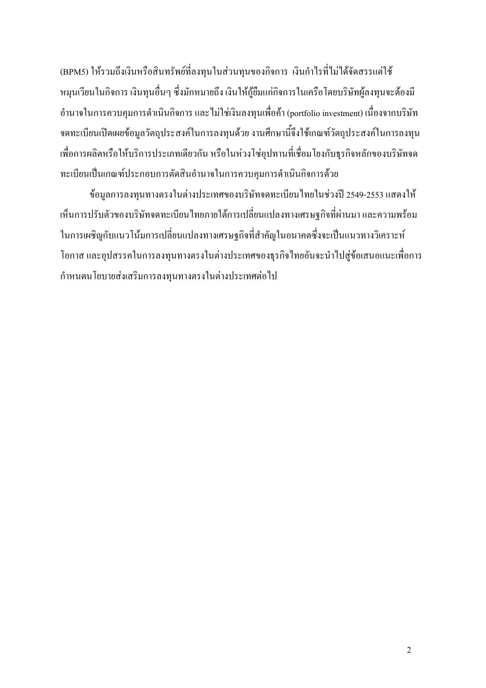(BPM5) ให้รวมถึงเงินหรือสินทรัพย์ที่ลงทนในส่วนทนของกิจการ เงินกำไรที่ไม่ได้จัดสรรแต่ใช้ หมุนเวียนในกิจการ เงินทุนอื่นๆ ซึ่งมักหมายถึง เงินให้กู้ยืมแก่กิจการในเครือโดยบริษัทผู้ลงทุนจะต้องมี ้อำนาจในการควบคุมการคำเนินกิจการ และ ไม่ใช่เงินลงทุนเพื่อค้า (portfolio investment) เนื่องจากบริษัท ึ่งดทะเบียนเปิดเผยข้อมูลวัตถุประสงค์ในการลงทุนด้วย งานศึกษานี้จึงใช้เกณฑ์วัตถุประสงค์ในการลงทุน เพื่อการผลิตหรือให้บริการประเภทเดียวกัน หรือในห่วงโซ่อุปทานที่เชื่อมโยงกับธุรกิจหลักของบริษัทจด ทะเบียนเป็นเกณฑ์ประกอบการตัดสินอำนาจในการควบคุมการคำเนินกิจการด้วย

ข้อมลการลงทนทางตรงในต่างประเทศของบริษัทจดทะเบียนไทยในช่วงปี 2549-2553 แสดงให้ ้เห็นการปรับตัวของบริษัทจดทะเบียนใทยภายใต้การเปลี่ยนแปลงทางเศรษฐกิจที่ผ่านมา และความพร้อม ในการเผชิญกับแนวโน้มการเปลี่ยนแปลงทางเศรษฐกิจที่สำคัญในอนาคตซึ่งจะเป็นแนวทางวิเคราะห์ โอกาส และอปสรรคในการลงทนทางตรงในต่างประเทศของธรกิจไทยอันจะนำไปส่ข้อเสนอแนะเพื่อการ กำหนดนโยบายส่งเสริมการลงทนทางตรงในต่างประเทศต่อไป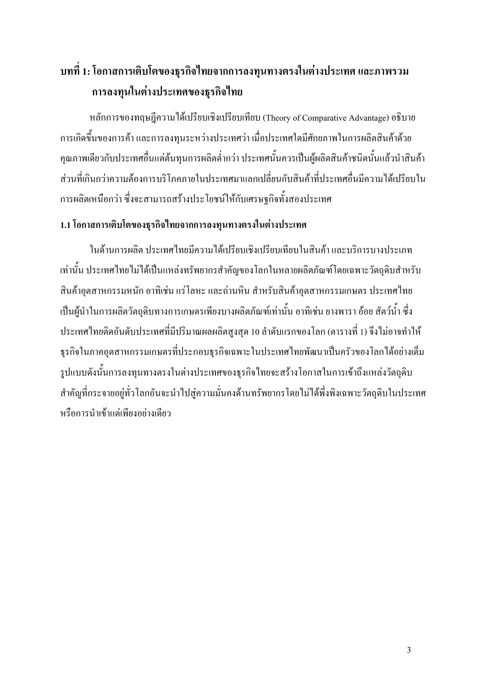### ี บทที่ 1: โอกาสการเติบโตของธุรกิจไทยจากการลงทุนทางตรงในต่างประเทศ และภาพรวม การลงทุนในต่างประเทศของธุรกิจไทย

หลักการของทฤษฎีความได้เปรียบเชิงเปรียบเทียบ (Theory of Comparative Advantage) อธิบาย ึการเกิดขึ้นของการค้า และการลงทุนระหว่างประเทศว่า เมื่อประเทศใคมีศักยภาพในการผลิตสินค้าด้วย ้คุณภาพเดียวกับประเทศอื่นแต่ต้นทุนการผลิตต่ำกว่า ประเทศนั้นควรเป็นผู้ผลิตสินค้าชนิดนั้นแล้วนำสินค้า ส่วนที่เกินกว่าความต้องการบริโภคภายในประเทศมาแลกเปลี่ยนกับสินค้าที่ประเทศอื่นมีความได้เปรียบใน ึการผลิตเหนือกว่า ซึ่งจะสามารถสร้างประโยชน์ให้กับเศรษฐกิจทั้งสองประเทศ

#### 1.1 โอกาสการเติบโตของธุรกิจไทยจากการลงทุนทางตรงในต่างประเทศ

ในด้านการผลิต ประเทศไทยมีความได้เปรียบเชิงเปรียบเทียบในสินค้า และบริการบางประเภท เท่านั้น ประเทศไทยไม่ได้เป็นแหล่งทรัพยากรสำคัญของโลกในหลายผลิตภัณฑ์โดยเฉพาะวัตถุดิบสำหรับ ้สินค้าอตสาหกรรมหนัก อาทิเช่น แร่โลหะ และถ่านหิน สำหรับสินค้าอตสาหกรรมเกษตร ประเทศไทย ้เป็นผู้นำในการผลิตวัตถุดิบทางการเกษตรเพียงบางผลิตภัณฑ์เท่านั้น อาทิเช่น ยางพารา อ้อย สัตว์น้ำ ซึ่ง ประเทศไทยติดอันดับประเทศที่มีปริมาณผลผลิตสูงสุด 10 ลำดับแรกของโลก (ตารางที่ 1) จึงไม่อาจทำให้ ธุรกิจในภาคอุตสาหกรรมเกษตรที่ประกอบธุรกิจเฉพาะในประเทศไทยพัฒนาเป็นครัวของโลกได้อย่างเต็ม รูปแบบดังนั้นการลงทุนทางตรงในต่างประเทศของธุรกิจไทยจะสร้างโอกาสในการเข้าถึงแหล่งวัตถุดิบ สำคัญที่กระจายอยู่ทั่วโลกอันจะนำไปสู่ความมั่นคงด้านทรัพยากรโดยไม่ได้พึ่งพิงเฉพาะวัตถุดิบในประเทศ หรือการนำเข้าแต่เพียงอย่างเดียว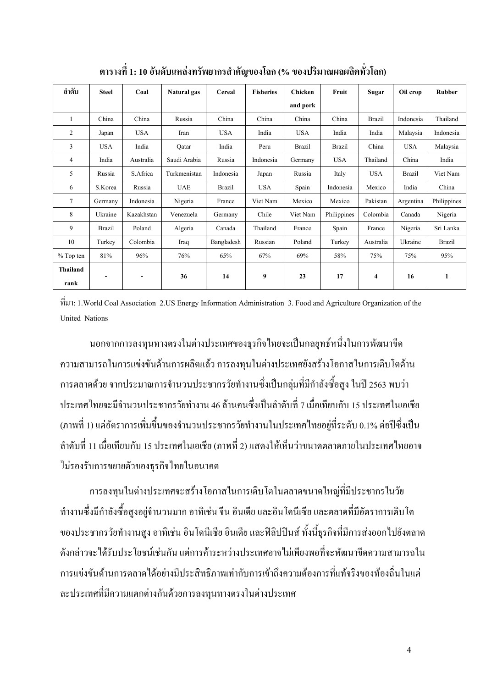| ลำดับ            | <b>Steel</b>  | Coal       | Natural gas  | Cereal        | <b>Fisheries</b> | Chicken       | Fruit         | <b>Sugar</b>        | Oil crop      | Rubber      |
|------------------|---------------|------------|--------------|---------------|------------------|---------------|---------------|---------------------|---------------|-------------|
|                  |               |            |              |               |                  | and pork      |               |                     |               |             |
| 1                | China         | China      | Russia       | China         | China            | China         | China         | <b>Brazil</b>       | Indonesia     | Thailand    |
| $\overline{c}$   | Japan         | <b>USA</b> | Iran         | <b>USA</b>    | India            | <b>USA</b>    | India         | India               | Malaysia      | Indonesia   |
| 3                | <b>USA</b>    | India      | Qatar        | India         | Peru             | <b>Brazil</b> | <b>Brazil</b> | China               | <b>USA</b>    | Malaysia    |
| 4                | India         | Australia  | Saudi Arabia | Russia        | Indonesia        | Germany       | <b>USA</b>    | Thailand            | China         | India       |
| 5                | Russia        | S.Africa   | Turkmenistan | Indonesia     | Japan            | Russia        | Italy         | <b>USA</b>          | <b>Brazil</b> | Viet Nam    |
| 6                | S.Korea       | Russia     | <b>UAE</b>   | <b>Brazil</b> | <b>USA</b>       | Spain         | Indonesia     | Mexico              | India         | China       |
| 7                | Germany       | Indonesia  | Nigeria      | France        | Viet Nam         | Mexico        | Mexico        | Pakistan            | Argentina     | Philippines |
| 8                | Ukraine       | Kazakhstan | Venezuela    | Germany       | Chile            | Viet Nam      | Philippines   | Colombia            | Canada        | Nigeria     |
| 9                | <b>Brazil</b> | Poland     | Algeria      | Canada        | Thailand         | France        | Spain         | France              | Nigeria       | Sri Lanka   |
| 10               | Turkey        | Colombia   | Iraq         | Bangladesh    | Russian          | Poland        | Turkey        | Australia           | Ukraine       | Brazil      |
| % Top ten        | 81%           | 96%        | 76%          | 65%           | 67%              | 69%           | 58%           | 75%                 | 75%           | 95%         |
| Thailand<br>rank | -             |            | 36           | 14            | 9                | 23            | 17            | $\overline{\bf{4}}$ | 16            | 1           |

ตารางที่ 1: 10 อันดับแหล่งทรัพยากรสำคัญของโลก (% ของปริมาณผลผลิตทั่วโลก)

B: 1.World Coal Association 2.US Energy Information Administration 3. Food and Agriculture Organization of the United Nations

นอกจากการลงทุนทางตรงในต่างประเทศของธุรกิจไทยจะเป็นกลยุทธ์หนึ่งในการพัฒนาขีด ความสามารถในการแข่งขันด้านการผลิตแล้ว การลงทุนในต่างประเทศยังสร้างโอกาสในการเติบโตด้าน การตลาดด้วย จากประมาณการจำนวนประชากรวัยทำงานซึ่งเป็นกลุ่มที่มีกำลังซื้อสูง ในปี 2563 พบว่า ประเทศไทยจะมีจำนวนประชากรวัยทำงาน 46 ล้านคนซึ่งเป็นลำคับที่ 7 เมื่อเทียบกับ 15 ประเทศในเอเชีย (ภาพที่ 1) แต่อัตราการเพิ่มขึ้นของจำนวนประชากรวัยทำงานในประเทศไทยอยู่ที่ระดับ 0.1% ต่อปีซึ่งเป็น ลำดับที่ 11 เมื่อเทียบกับ 15 ประเทศในเอเชีย (ภาพที่ 2) แสดงให้เห็นว่าขนาดตลาดภายในประเทศไทยอาจ ใม่รองรับการขยายตัวของธุรกิจไทยในอนาคต

การลงทุนในต่างประเทศจะสร้างโอกาสในการเติบโตในตลาดขนาดใหญ่ที่มีประชากรในวัย ทำงานซึ่งมีกำลังซื้อสูงอยู่จำนวนมาก อาทิเช่น จีน อินเคีย และอินโคนีเซีย และตลาคที่มีอัตราการเติบโต ของประชากรวัยทำงานสูง อาทิเช่น อินโคนีเซีย อินเคีย และฟิลิปปินส์ ทั้งนี้ธุรกิจที่มีการส่งออกไปยังตลาด ดังกล่าวจะใด้รับประโยชน์เช่นกัน แต่การค้าระหว่างประเทศอาจไม่เพียงพอที่จะพัฒนาขีดความสามารถใน การแข่งขันด้านการตลาด ได้อย่างมีประสิทธิภาพเท่ากับการเข้าถึงความต้องการที่แท้จริงของท้องถิ่นในแต่ ละประเทศที่มีความแตกต่างกันด้วยการลงทุนทางตรงในต่างประเทศ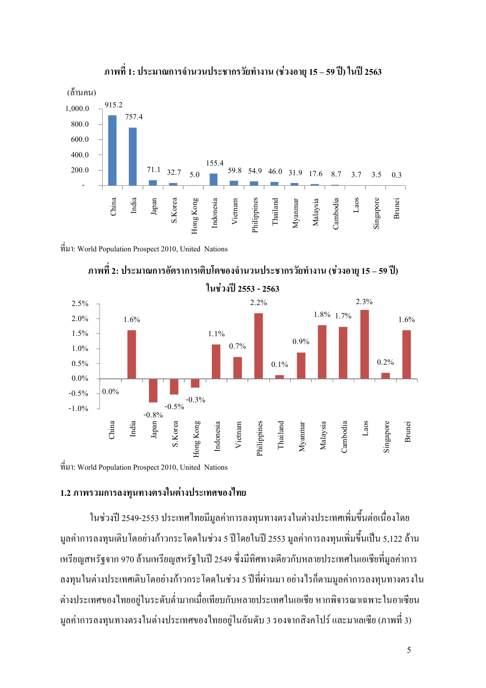

#### ึภาพที่ 1: ประมาณการจำนวนประชากรวัยทำงาน (ช่วงอายุ 15 – 59 ปี) ในปี 2563

B: World Population Prospect 2010, United Nations



ึ ภาพที่ 2: ประมาณการอัตราการเติบโตของจำนวนประชากรวัยทำงาน (ช่วงอายุ 15 – 59 ปี)

 $\hat{\vec{n}}$ มา: World Population Prospect 2010, United Nations

#### 1.2 ภาพรวมการลงทุนทางตรงในต่างประเทศของไทย

ในช่วงปี 2549-2553 ประเทศไทยมีมูลค่าการลงทุนทางตรงในต่างประเทศเพิ่มขึ้นต่อเนื่องโดย มูลค่าการลงทุนเติบโตอย่างก้าวกระโดดในช่วง 5 ปีโดยในปี 2553 มูลค่าการลงทุนเพิ่มขึ้นเป็น 5,122 ล้าน -หรียญสหรัฐจาก 970 ล้านเหรียญสหรัฐในปี 2549 ซึ่งมีทิศทางเคียวกับหลายประเทศในเอเชียที่มูลค่าการ ลงทุนในต่างประเทศเติบโตอย่างก้าวกระโดดในช่วง 5 ปีที่ผ่านมา อย่างไรก็ตามมูลค่าการลงทุนทางตรงใน ต่างประเทศของไทยอยู่ในระคับต่ำมากเมื่อเทียบกับหลายประเทศในเอเชีย หากพิจารณาเฉพาะในอาเซียน มูลค่าการลงทุนทางตรงในต่างประเทศของไทยอยู่ในอันดับ 3 รองจากสิงคโปร์ และมาเลเซีย (ภาพที่ 3)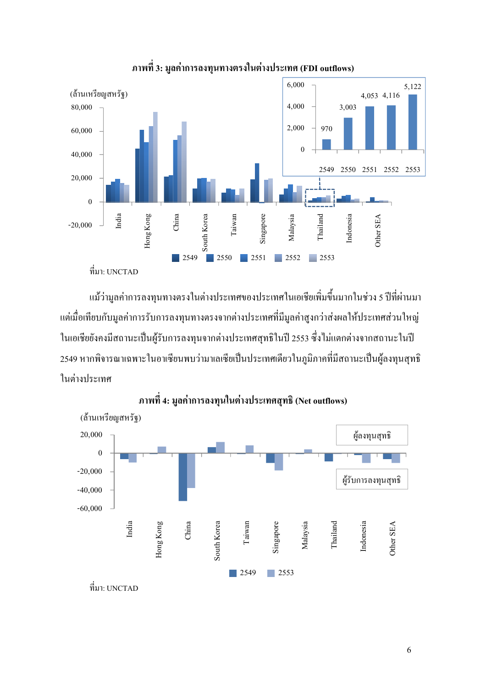

#### ี ภาพที่ 3: มูลค่าการลงทุนทางตรงในต่างประเทศ (FDI outflows)

แม้ว่ามูลค่าการลงทุนทางตรงในต่างประเทศของประเทศในเอเชียเพิ่มขึ้นมากในช่วง 5 ปีที่ผ่านมา แต่เมื่อเทียบกับมูลค่าการรับการลงทุนทางตรงจากต่างประเทศที่มีมูลค่าสูงกว่าส่งผลให้ประเทศส่วนใหญ่

ในเอเชียยังคงมีสถานะเป็นผู้รับการลงทุนจากต่างประเทศสุทธิในปี 2553 ซึ่งไม่แตกต่างจากสถานะในปี 2549 หากพิจารณาเฉพาะในอาเซียนพบว่ามาเลเซียเป็นประเทศเคียวในภูมิภาคที่มีสถานะเป็นผู้ลงทุนสุทธิ ในต่างประเทศ



ภาพที่ 4: มูลค่าการลงทุนในต่างประเทศสุทธิ (Net outflows)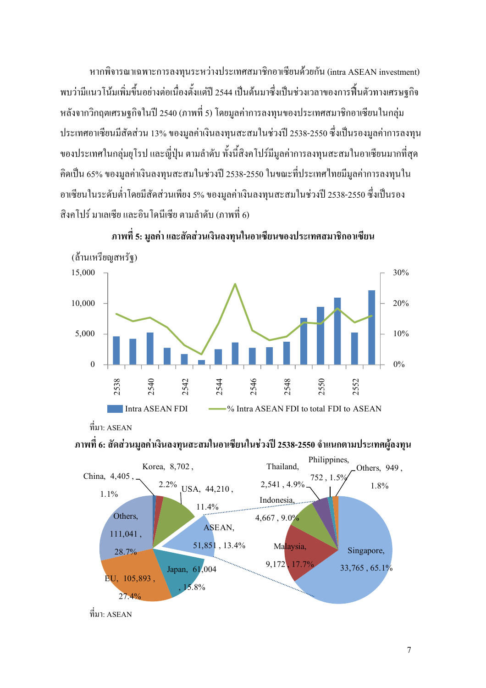หากพิจารณาเฉพาะการลงทุนระหว่างประเทศสมาชิกอาเซียนด้วยกัน (intra ASEAN investment) พบว่ามีแนวโน้มเพิ่มขึ้นอย่างต่อเนื่องตั้งแต่ปี 2544 เป็นต้นมาซึ่งเป็นช่วงเวลาของการฟื้นตัวทางเศรษฐกิจ หลังจากวิกฤตเศรษฐกิจในปี 2540 (ภาพที่ 5) โดยมูลค่าการลงทุนของประเทศสมาชิกอาเซียนในกลุ่ม ประเทศอาเซียนมีสัดส่วน 13% ของมูลค่าเงินลงทุนสะสมในช่วงปี 2538-2550 ซึ่งเป็นรองมูลค่าการลงทุน ของประเทศในกลุ่มยุโรป และญี่ปุ่น ตามลำดับ ทั้งนี้สิงคโปร์มีมูลค่าการลงทุนสะสมในอาเซียนมากที่สุด กิดเป็น 65% ของมูลค่าเงินลงทุนสะสมในช่วงปี 2538-2550 ในขณะที่ประเทศไทยมีมูลค่าการลงทุนใน อาเซียนในระดับต่ำโดยมีสัดส่วนเพียง 5% ของมูลค่าเงินลงทุนสะสมในช่วงปี 2538-2550 ซึ่งเป็นรอง สิงคโปร์ มาเลเซีย และอินโคนีเซีย ตามลำดับ (ภาพที่ 6)



ภาพที่ 5: มูลค่า และสัดส่วนเงินลงทุนในอาเซียนของประเทศสมาชิกอาเซียน

#### ภาพที่ 6: สัดส่วนมูลค่าเงินลงทุนสะสมในอาเซียนในช่วงปี 2538-2550 จำแนกตามประเทศผู้ลงทุน



 $\vec{\mathfrak{n}}$ มา: ASEAN

 $\vec{\hat{\mathfrak{n}}}$ มา $\cdot$  ASEAN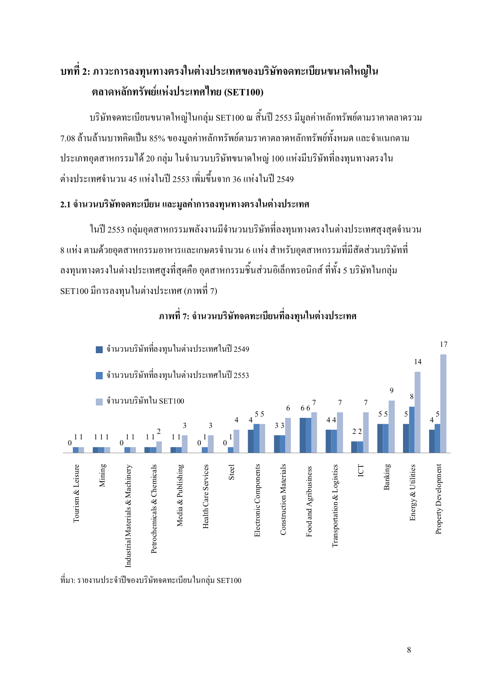### ิบทที่ 2: ภาวะการลงทุนทางตรงในต่างประเทศของบริษัทจดทะเบียนขนาดใหญ่ใน ตลาดหลักทรัพย์แห่งประเทศไทย (SET100)

ิบริษัทจดทะเบียนขนาดใหญ่ในกลุ่ม SET100 ณ สิ้นปี 2553 มีมูลค่าหลักทรัพย์ตามรากาตลาดรวม 7.08 ล้านล้านบาทกิดเป็น 85% ของมูลค่าหลักทรัพย์ตามรากาตลาดหลักทรัพย์ทั้งหมด และจำแนกตาม ี ประเภทอุตสาหกรรมได้ 20 กลุ่ม ในจำนวนบริษัทขนาดใหญ่ 100 แห่งมีบริษัทที่ลงทุนทางตรงใน ต่างประเทศจำนวน 45 แห่งในปี 2553 เพิ่มขึ้นจาก 36 แห่งในปี 2549

#### 2.1 จำนวนบริษัทจดทะเบียน และมูลค่าการลงทุนทางตรงในต่างประเทศ

ในปี 2553 กล่มอตสาหกรรมพลังงานมีจำนวนบริษัทที่ลงทนทางตรงในต่างประเทศสงสดจำนวน 8 แห่ง ตามด้วยอุตสาหกรรมอาหารและเกษตรจำนวน 6 แห่ง สำหรับอุตสาหกรรมที่มีสัดส่วนบริษัทที่ ้ลงทุนทางตรงในต่างประเทศสูงที่สุดคือ อุตสาหกรรมชื้นส่วนอิเล็กทรอนิกส์ ที่ทั้ง 5 บริษัทในกลุ่ม SET100 มีการลงทนในต่างประเทศ (ภาพที่ 7)



#### ิภาพที่ 7: จำนวนบริษัทจดทะเบียนที่ลงทุนในต่างประเทศ

ที่มา: รายงานประจำปีของบริษัทจดทะเบียนในกล่ม SET100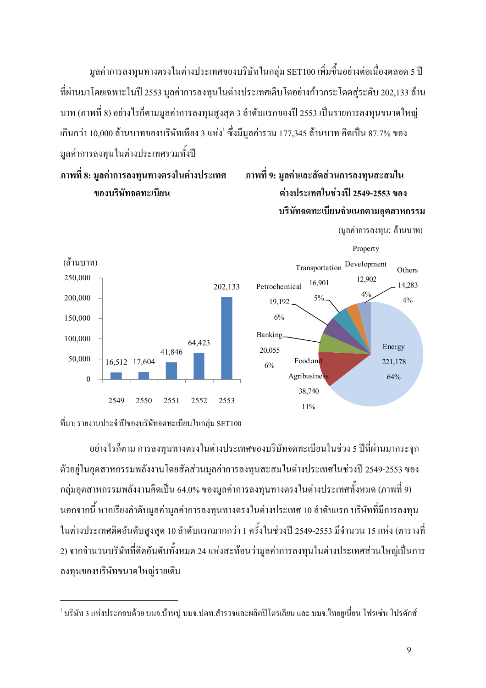มูลค่าการลงทุนทางตรงในต่างประเทศของบริษัทในกลุ่ม SET100 เพิ่มขึ้นอย่างต่อเนื่องตลอด 5 ปี ที่ผ่านมาโดยเฉพาะในปี 2553 มูลค่าการลงทุนในต่างประเทศเติบโตอย่างก้าวกระโดดสู่ระดับ 202,133 ล้าน บาท (ภาพที่ 8) อย่างไรก็ตามมูลค่าการลงทุนสูงสุด 3 ลำดับแรกของปี 2553 เป็นรายการลงทุนขนาดใหญ่ -กินกว่า 10,000 ล้านบาทของบริษัทเพียง 3 แห่ง<sup>!</sup> ซึ่งมีมูลค่ารวม 177,345 ล้านบาท คิดเป็น 87.7% ของ มูลค่าการลงทุนในต่างประเทศรวมทั้งปี

ึภาพที่ 8: มลค่าการลงทนทางตรงในต่างประเทศ

ัดส่วนการลงทุน**สะสมใ**น )%\+5/(- \$
/(0. T\$2
V 2549-2553 )% บริษัทจดทะเบียนจำแนกตามอุตสาหกรรม







l.

อย่างไรก็ตาม การลงทุนทางตรงในต่างประเทศของบริษัทจดทะเบียนในช่วง 5 ปีที่ผ่านมากระจุก ตัวอยู่ในอุตสาหกรรมพลังงานโดยสัดส่วนมูลค่าการลงทุนสะสมในต่างประเทศในช่วงปี 2549-2553 ของ กลุ่มอุตสาหกรรมพลังงานกิดเป็น 64.0% ของมูลค่าการลงทุนทางตรงในต่างประเทศทั้งหมด (ภาพที่ 9) นอกจากนี้ หากเรียงลำดับมูลค่ามูลค่าการลงทุนทางตรงในต่างประเทศ 10 ลำดับแรก บริษัทที่มีการลงทุน ในต่างประเทศติคอันดับสูงสุด 10 ลำดับแรกมากกว่า 1 ครั้งในช่วงปี 2549-2553 มีจำนวน 15 แห่ง (ตารางที่ 2) จากจำนวนบริษัทที่ติดอันดับทั้งหมด 24 แห่งสะท้อนว่ามูลค่าการลงทุนในต่างประเทศส่วนใหญ่เป็นการ ลงทุนของบริษัทขนาดใหญ่รายเดิม

 $^{\rm I}$  บริษัท 3 แห่งประกอบด้วย บมจ.บ้านปู บมจ.ปตท.สำรวจและผลิตปิโตรเลียม และ บมจ.ไทยขูเนี่ยน โฟรเซ่น โปรดักส์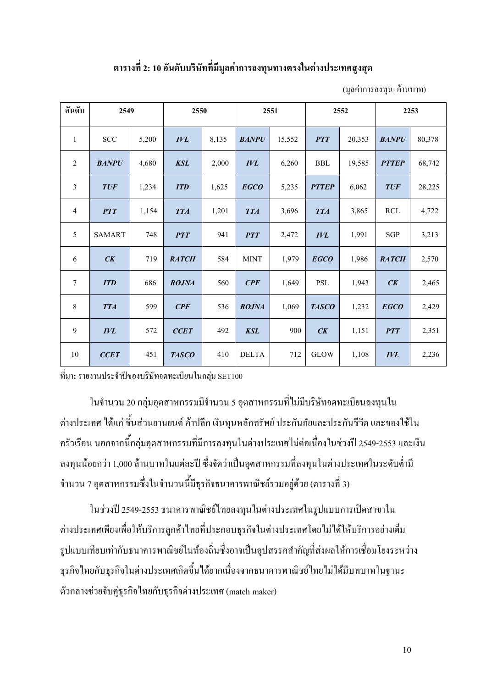#### ี ตารางที่ 2: 10 อันดับบริษัทที่มีมูลค่าการลงทุนทางตรงในต่างประเทศสูงสุด

(มลค่าการลงทน: ล้านบาท)

| อันดับ          | 2549          |       | 2550         |       | 2551         |        | 2552                 |        |              | 2253   |
|-----------------|---------------|-------|--------------|-------|--------------|--------|----------------------|--------|--------------|--------|
| 1               | <b>SCC</b>    | 5,200 | <b>IVL</b>   | 8,135 | <b>BANPU</b> | 15,552 | <b>PTT</b>           | 20,353 | <b>BANPU</b> | 80,378 |
| 2               | <b>BANPU</b>  | 4,680 | <b>KSL</b>   | 2,000 | <b>IVL</b>   | 6,260  | ${\bf BBL}$          | 19,585 | <b>PTTEP</b> | 68,742 |
| 3               | <b>TUF</b>    | 1,234 | <b>ITD</b>   | 1,625 | <b>EGCO</b>  | 5,235  | <b>PTTEP</b>         | 6,062  | <b>TUF</b>   | 28,225 |
| $\overline{4}$  | <b>PTT</b>    | 1,154 | <b>TTA</b>   | 1,201 | <b>TTA</b>   | 3,696  | <b>TTA</b>           | 3,865  | RCL          | 4,722  |
| 5               | <b>SAMART</b> | 748   | <b>PTT</b>   | 941   | <b>PTT</b>   | 2,472  | <b>IVL</b>           | 1,991  | SGP          | 3,213  |
| 6               | CK            | 719   | <b>RATCH</b> | 584   | <b>MINT</b>  | 1,979  | <b>EGCO</b>          | 1,986  | <b>RATCH</b> | 2,570  |
| $7\phantom{.0}$ | <b>ITD</b>    | 686   | <b>ROJNA</b> | 560   | CPF          | 1,649  | $\operatorname{PSL}$ | 1,943  | CK           | 2,465  |
| 8               | <b>TTA</b>    | 599   | CPF          | 536   | <b>ROJNA</b> | 1,069  | <b>TASCO</b>         | 1,232  | <b>EGCO</b>  | 2,429  |
| 9               | <b>IVL</b>    | 572   | <b>CCET</b>  | 492   | <b>KSL</b>   | 900    | CK                   | 1,151  | <b>PTT</b>   | 2,351  |
| 10              | <b>CCET</b>   | 451   | <b>TASCO</b> | 410   | <b>DELTA</b> | 712    | <b>GLOW</b>          | 1,108  | <b>IVL</b>   | 2,236  |

ที่มา: รายงานประจำปีของบริษัทจดทะเบียนในกลุ่ม SET100

ในจำนวน 20 กลุ่มอุตสาหกรรมมีจำนวน 5 อุตสาหกรรมที่ไม่มีบริษัทจดทะเบียนลงทุนใน ต่างประเทศ ได้แก่ ชิ้นส่วนยานยนต์ ค้าปลีก เงินทุนหลักทรัพย์ ประกันภัยและประกันชีวิต และของใช้ใน ้ครัวเรือน นอกจากนี้กลุ่มอุตสาหกรรมที่มีการลงทุนในต่างประเทศไม่ต่อเนื่องในช่วงปี 2549-2553 และเงิน ้ลงทุนน้อยกว่า 1,000 ล้านบาทในแต่ละปี ซึ่งจัดว่าเป็นอุตสาหกรรมที่ลงทุนในต่างประเทศในระดับต่ำมี ้จำนวน 7 อุตสาหกรรมซึ่งในจำนวนนี้มีธุรกิจธนาคารพาณิชย์รวมอยู่ด้วย (ตารางที่ 3)

ในช่วงปี 2549-2553 ธนาคารพาณิชย์ใทยลงทุนในต่างประเทศในรูปแบบการเปิดสาขาใน ต่างประเทศเพียงเพื่อให้บริการลูกค้าไทยที่ประกอบธุรกิจในต่างประเทศโดยไม่ได้ให้บริการอย่างเต็ม รูปแบบเทียบเท่ากับธนาคารพาณิชย์ในท้องถิ่นซึ่งอาจเป็นอุปสรรคสำคัญที่ส่งผลให้การเชื่อมโยงระหว่าง ้ ธุรกิจไทยกับธุรกิจในต่างประเทศเกิดขึ้นได้ยากเนื่องจากธนาคารพาณิชย์ไทยไม่ได้มีบทบาทในฐานะ ตัวกลางช่วยจับคู่ธุรกิจไทยกับธุรกิจต่างประเทศ (match maker)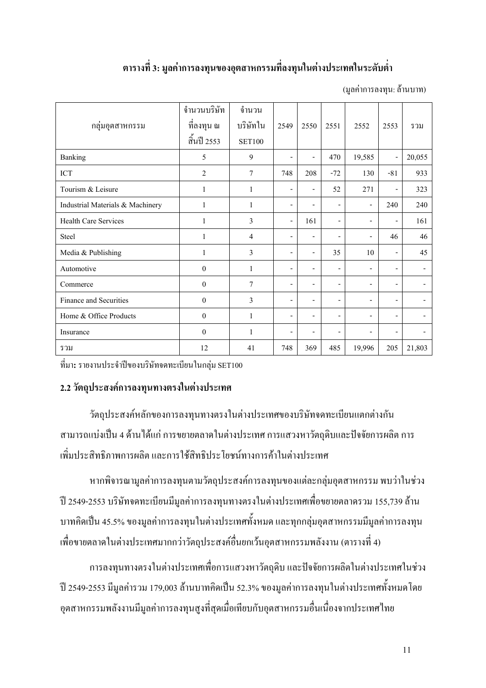### ี ตารางที่ 3: มูลค่าการลงทุนของอุตสาหกรรมที่ลงทุนในต่างประเทศในระดับต่ำ

(มลค่าการลงทน: ล้านบาท)

|                                  | จำนวนบริษัท    | จำนวน          |                          |                          |                          |                          |                          |        |
|----------------------------------|----------------|----------------|--------------------------|--------------------------|--------------------------|--------------------------|--------------------------|--------|
| กลุ่มอุตสาหกรรม                  | ที่ลงทุน ณ     | บริษัทใน       | 2549                     | 2550                     | 2551                     | 2552                     | 2553                     | รวม    |
|                                  | สิ้นปี 2553    | <b>SET100</b>  |                          |                          |                          |                          |                          |        |
| Banking                          | 5              | 9              | $\overline{\phantom{a}}$ | $\overline{\phantom{a}}$ | 470                      | 19,585                   | $\overline{\phantom{a}}$ | 20,055 |
| ICT                              | $\overline{2}$ | $\overline{7}$ | 748                      | 208                      | $-72$                    | 130                      | $-81$                    | 933    |
| Tourism & Leisure                | 1              | $\mathbf{1}$   | $\overline{\phantom{a}}$ | $\overline{a}$           | 52                       | 271                      | $\overline{\phantom{0}}$ | 323    |
| Industrial Materials & Machinery | 1              | $\mathbf{1}$   | $\overline{\phantom{a}}$ | $\overline{\phantom{a}}$ | $\overline{\phantom{a}}$ | $\overline{a}$           | 240                      | 240    |
| <b>Health Care Services</b>      | 1              | 3              | $\overline{\phantom{a}}$ | 161                      | $\overline{\phantom{a}}$ | $\overline{\phantom{a}}$ | $\qquad \qquad -$        | 161    |
| <b>Steel</b>                     | 1              | $\overline{4}$ | $\overline{\phantom{a}}$ | $\overline{\phantom{a}}$ | $\overline{\phantom{a}}$ | $\overline{\phantom{a}}$ | 46                       | 46     |
| Media & Publishing               | $\mathbf{1}$   | 3              | $\overline{\phantom{a}}$ | $\overline{\phantom{0}}$ | 35                       | 10                       | $\overline{\phantom{a}}$ | 45     |
| Automotive                       | $\theta$       | 1              | $\overline{\phantom{a}}$ | $\overline{\phantom{a}}$ | $\overline{\phantom{a}}$ | $\overline{\phantom{a}}$ | $\overline{\phantom{0}}$ |        |
| Commerce                         | $\theta$       | 7              | $\overline{\phantom{a}}$ | $\overline{\phantom{a}}$ | $\overline{\phantom{a}}$ | $\overline{a}$           | ۰                        |        |
| Finance and Securities           | $\theta$       | 3              | $\overline{\phantom{0}}$ | $\overline{\phantom{a}}$ | $\overline{\phantom{a}}$ | $\overline{\phantom{a}}$ | $\overline{\phantom{a}}$ |        |
| Home & Office Products           | $\theta$       | $\mathbf{1}$   | $\overline{\phantom{a}}$ | $\overline{\phantom{a}}$ | $\overline{\phantom{a}}$ | $\overline{\phantom{a}}$ | $\qquad \qquad -$        |        |
| Insurance                        | $\theta$       | 1              | $\overline{\phantom{0}}$ | $\overline{\phantom{0}}$ | $\overline{\phantom{a}}$ | ۰                        | ۰                        |        |
| รวม                              | 12             | 41             | 748                      | 369                      | 485                      | 19,996                   | 205                      | 21,803 |

ที่มา: รายงานประจำปีของบริษัทจดทะเบียนในกล่ม SET100

#### 2.2 วัตถุประสงค์การลงทุนทางตรงในต่างประเทศ

วัตถุประสงค์หลักของการลงทุนทางตรงในต่างประเทศของบริษัทจดทะเบียนแตกต่างกัน ี่ สามารถแบ่งเป็น 4 ด้านได้แก่ การขยายตลาดในต่างประเทศ การแสวงหาวัตถุดิบและปัจจัยการผลิต การ ้เพิ่มประสิทธิภาพการผลิต และการใช้สิทธิประโยชน์ทางการค้าในต่างประเทศ

หากพิจารณามูลค่าการลงทุนตามวัตถุประสงค์การลงทุนของแต่ละกลุ่มอุตสาหกรรม พบว่าในช่วง ปี 2549-2553 บริษัทจดทะเบียนมีมูลค่าการลงทุนทางตรงในต่างประเทศเพื่อขยายตลาดรวม 155,739 ล้าน ิบาทคิดเป็น 45.5% ของมูลค่าการลงทุนในต่างประเทศทั้งหมด และทุกกลุ่มอุตสาหกรรมมีมูลค่าการลงทุน เพื่อขายตลาดในต่างประเทศมากกว่าวัตถุประสงค์อื่นยกเว้นอุตสาหกรรมพลังงาน (ตารางที่ 4)

ี การลงทุนทางตรงในต่างประเทศเพื่อการแสวงหาวัตถุดิบ และปัจจัยการผลิตในต่างประเทศในช่วง ปี 2549-2553 มีมูลค่ารวม 179,003 ล้านบาทคิดเป็น 52.3% ของมูลค่าการลงทุนในต่างประเทศทั้งหมดโดย อุตสาหกรรมพลังงานมีมูลค่าการลงทุนสูงที่สุดเมื่อเทียบกับอุตสาหกรรมอื่นเนื่องจากประเทศไทย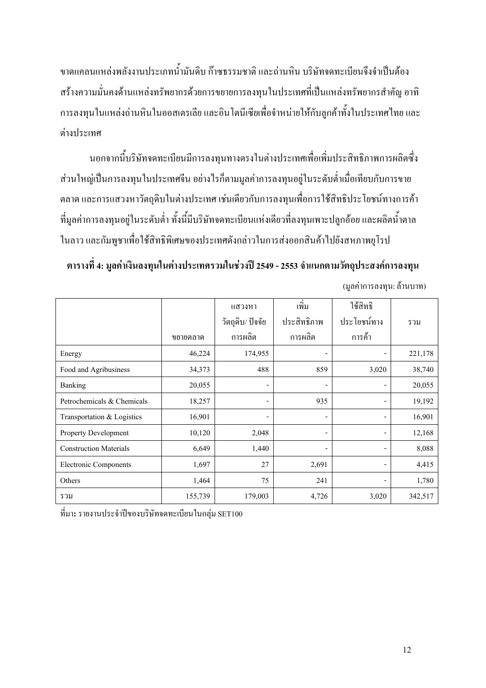ขาคแกลนแหล่งพลังงานประเภทน้ำมันคิบ ก๊าซธรรมชาติ และถ่านหิน บริษัทจคทะเบียนจึงจำเป็นค้อง สร้างความมั่นคงด้านแหล่งทรัพยากรด้วยการขยายการลงทุนในประเทศที่เป็นแหล่งทรัพยากรสำคัญ อาทิ การลงทุนในแหล่งถ่านหินในออสเตรเลีย และอินโดนีเซียเพื่อจำหน่ายให้กับลูกค้าทั้งในประเทศไทย และ ต่างประเทศ

นอกจากนี้บริษัทจดทะเบียนมีการลงทุนทางตรงในต่างประเทศเพื่อเพิ่มประสิทธิภาพการผลิตซึ่ง ส่วนใหญ่เป็นการลงทุนในประเทศจีน อย่างไรก็ตามมูลค่าการลงทุนอยู่ในระดับต่ำเมื่อเทียบกับการขาย ตลาด และการแสวงหาวัตถุดิบในต่างประเทศ เช่นเดียวกับการลงทุนเพื่อการใช้สิทธิประ โยชน์ทางการค้า ที่มูลค่าการลงทุนอยู่ในระดับต่ำ ทั้งนี้มีบริษัทจดทะเบียนแห่งเดียวที่ลงทุนเพาะปลูกอ้อย และผลิตน้ำตาล ในลาว และกัมพูชาเพื่อใช้สิทธิพิเศษของประเทศดังกล่าวในการส่งออกสินค้าไปยังสหภาพยุโรป

ตารางที่ 4: มูลค่าเงินลงทุนในต่างประเทศรวมในช่วงปี 2549 - 2553 จำแนกตามวัตถุประสงค์การลงทุน (มลค่าการลงทน: ล้านบาท)

|                               |          | แสวงหา                       | ้เพิ่ม                   | ใช้สิทธิ                 |         |
|-------------------------------|----------|------------------------------|--------------------------|--------------------------|---------|
|                               |          | วัตถุดิบ/ ปัจจัย             | ประสิทธิภาพ              | ประโยชน์ทาง              | รวม     |
|                               | ขยายตลาด | การผลิต                      | การผลิต                  | ึการค้า                  |         |
| Energy                        | 46,224   | 174,955                      | $\overline{\phantom{a}}$ | $\overline{\phantom{a}}$ | 221,178 |
| Food and Agribusiness         | 34,373   | 488                          | 859                      | 3,020                    | 38,740  |
| Banking                       | 20,055   | $\overline{\phantom{a}}$     |                          | -                        | 20,055  |
| Petrochemicals & Chemicals    | 18,257   | $\qquad \qquad \blacksquare$ | 935                      | -                        | 19,192  |
| Transportation & Logistics    | 16,901   | -                            | -                        | -                        | 16,901  |
| Property Development          | 10,120   | 2,048                        | -                        | -                        | 12,168  |
| <b>Construction Materials</b> | 6,649    | 1,440                        | -                        | $\overline{\phantom{a}}$ | 8,088   |
| Electronic Components         | 1,697    | 27                           | 2,691                    | $\overline{\phantom{a}}$ | 4,415   |
| Others                        | 1,464    | 75                           | 241                      | $\overline{\phantom{a}}$ | 1,780   |
| รวม                           | 155,739  | 179,003                      | 4,726                    | 3,020                    | 342,517 |

ที่มา**:** รายงานประจำปีของบริษัทจคทะเบียนในกลุ่ม SET100

12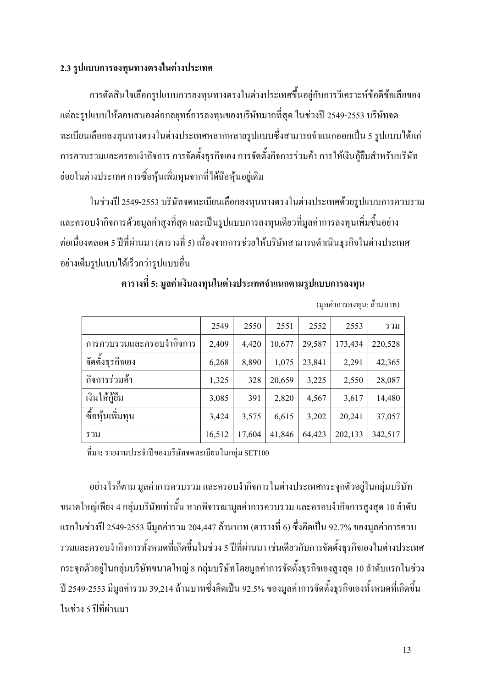#### 2.3 รูปแบบการลงทุนทางตรงในต่างประเทศ

การตัดสินใจเลือกรูปแบบการลงทุนทางตรงในต่างประเทศขึ้นอยู่กับการวิเคราะห์ข้อดีข้อเสียของ -แต่ละรูปแบบให้ตอบสนองต่อกลยุทธ์การลงทุนของบริษัทมากที่สุด ในช่วงปี 2549-2553 บริษัทจด ทะเบียนเลือกลงทุนทางตรงในต่างประเทศหลากหลายรูปแบบซึ่งสามารถจำแนกออกเป็น 5 รูปแบบได้แก่ การควบรวมและครอบงำกิจการ การจัดตั้งธุรกิจเอง การจัดตั้งกิจการร่วมค้า การให้เงินกู้ยืมสำหรับบริษัท ย่อยในต่างประเทศ การซื้อหุ้นเพิ่มทุนจากที่ได้ถือหุ้นอยู่เดิม

ในช่วงปี 2549-2553 บริษัทจดทะเบียนเลือกลงทุนทางตรงในต่างประเทศด้วยรูปแบบการควบรวม และครอบงำกิจการด้วยมูลค่าสูงที่สุด และเป็นรูปแบบการลงทุนเดียวที่มูลค่าการลงทุนเพิ่มขึ้นอย่าง ต่อเนื่องตลอด 5 ปีที่ผ่านมา (ตารางที่ 5) เนื่องจากการช่วยให้บริษัทสามารถดำเนินธุรกิจในต่างประเทศ อย่างเต็มรูปแบบได้เร็วกว่ารูปแบบอื่น

|                          | 2549   | 2550   | 2551   | 2552   | 2553    | รวม     |
|--------------------------|--------|--------|--------|--------|---------|---------|
| การควบรวมและครอบงำกิจการ | 2,409  | 4,420  | 10,677 | 29,587 | 173,434 | 220,528 |
| จัดตั้งธุรกิจเอง         | 6,268  | 8,890  | 1,075  | 23,841 | 2,291   | 42,365  |
| กิจการร่วมค้า            | 1,325  | 328    | 20,659 | 3,225  | 2,550   | 28,087  |
| เงินให้กู้ยืม            | 3,085  | 391    | 2,820  | 4,567  | 3,617   | 14,480  |
| ซื้อหุ้นเพิ่มทุน         | 3,424  | 3,575  | 6,615  | 3,202  | 20,241  | 37,057  |
| รวม                      | 16,512 | 17,604 | 41,846 | 64,423 | 202,133 | 342,517 |

ี ตารางที่ 5: มลค่าเงินลงทนในต่างประเทศจำแนกตามรปแบบการลงทน

(มูลค่ำการลงทุน: ล้านบาท)

ที่มา: รายงานประจำปีของบริษัทจดทะเบียนในกลุ่ม SET100

อย่างไรก็ตาม มูลค่าการควบรวม และครอบงำกิจการในต่างประเทศกระจุกตัวอยู่ในกลุ่มบริษัท ขนาดใหญ่เพียง 4 กลุ่มบริษัทเท่านั้น หากพิจารณามูลค่าการควบรวม และครอบงำกิจการสูงสุด 10 ลำดับ แรกในช่วงปี 2549-2553 มีมูลค่ารวม 204,447 ล้านบาท (ตารางที่ 6) ซึ่งคิดเป็น 92.7% ของมูลค่าการควบ รวมและครอบงำกิจการทั้งหมดที่เกิดขึ้นในช่วง 5 ปีที่ผ่านมา เช่นเดียวกับการจัดตั้งธุรกิจเองในต่างประเทศ กระจุกตัวอยู่ในกลุ่มบริษัทขนาดใหญ่ 8 กลุ่มบริษัทโดยมูลค่าการจัดตั้งธุรกิจเองสูงสุด 10 ลำดับแรกในช่วง ปี 2549-2553 มีมูลค่ารวม 39,214 ล้านบาทซึ่งคิดเป็น 92.5% ของมูลค่าการจัดตั้งธุรกิจเองทั้งหมดที่เกิดขึ้น ในช่วง 5 ปีที่ผ่านมา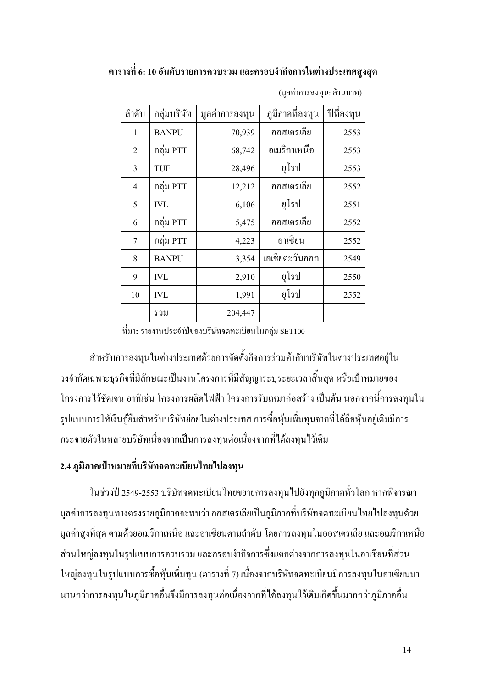### ตารางที่ 6: 10 อันดับรายการควบรวม และครอบงำกิจการในต่างประเทศสูงสุด

| ลำดับ        | กลุ่มบริษัท  | มูลค่าการลงทุน | ภูมิภาคที่ลงทุน | ปีที่ลงทุน |
|--------------|--------------|----------------|-----------------|------------|
| $\mathbf{1}$ | <b>BANPU</b> | 70,939         | ออสเตรเลีย      | 2553       |
| 2            | กลุ่ม PTT    | 68,742         | อเมริกาเหนือ    | 2553       |
| 3            | <b>TUF</b>   | 28,496         | ยุโรป           | 2553       |
| 4            | กลุ่ม PTT    | 12,212         | ออสเตรเลีย      | 2552       |
| 5            | <b>IVL</b>   | 6,106          | ยุโรป           | 2551       |
| 6            | กลุ่ม PTT    | 5,475          | ออสเตรเลีย      | 2552       |
| 7            | กลุ่ม PTT    | 4,223          | อาเซียน         | 2552       |
| 8            | <b>BANPU</b> | 3,354          | เอเชียตะวันออก  | 2549       |
| 9            | <b>IVL</b>   | 2,910          | ยุโรป           | 2550       |
| 10           | <b>IVL</b>   | 1,991          | ยุโรป           | 2552       |
|              | รวม          | 204,447        |                 |            |

(มูลค่าการลงทุน: ล้านบาท)

ที่มา: รายงานประจำปีของบริษัทจดทะเบียนในกลุ่ม SET100

สำหรับการลงทุนในต่างประเทศด้วยการจัดตั้งกิจการร่วมค้ากับบริษัทในต่างประเทศอยู่ใน ้วงจำกัดเฉพาะธุรกิจที่มีลักษณะเป็นงานโครงการที่มีสัญญาระบุระยะเวลาสิ้นสุด หรือเป้าหมายของ โครงการไว้ชัดเจน อาทิเช่น โครงการผลิตไฟฟ้า โครงการรับเหมาก่อสร้าง เป็นต้น นอกจากนี้การลงทนใน รูปแบบการให้เงินกู้ยืมสำหรับบริษัทย่อยในต่างประเทศ การซื้อหุ้นเพิ่มทุนจากที่ได้ถือหุ้นอยู่เดิมมีการ กระจายตัวในหลายบริษัทเนื่องจากเป็นการลงทุนต่อเนื่องจากที่ได้ลงทุนไว้เดิม

#### 2.4 ภูมิภาคเป้าหมายที่บริษัทจดทะเบียนไทยไปลงทุน

ในช่วงปี 2549-2553 บริษัทจดทะเบียนไทยขยายการลงทุนไปยังทุกภูมิภาคทั่วโลก หากพิจารณา ้มูลค่าการลงทุนทางตรงรายภูมิภาคจะพบว่า ออสเตรเลียเป็นภูมิภาคที่บริษัทจดทะเบียนไทยไปลงทุนด้วย ้ มูลค่าสูงที่สุด ตามด้วยอเมริกาเหนือ และอาเซียนตามลำดับ โดยการลงทุนในออสเตรเลีย และอเมริกาเหนือ ้ ส่วนใหญ่ลงทุนในรูปแบบการควบรวม และครอบงำกิจการซึ่งแตกต่างจากการลงทุนในอาเซียนที่ส่วน ใหญ่ลงทุนในรูปแบบการซื้อหุ้นเพิ่มทุน (ตารางที่ 7) เนื่องจากบริษัทจดทะเบียนมีการลงทุนในอาเซียนมา ้นานกว่าการลงทุนในภูมิภาคอื่นจึงมีการลงทุนต่อเนื่องจากที่ได้ลงทุนไว้เคิมเกิดขึ้นมากกว่าภูมิภาคอื่น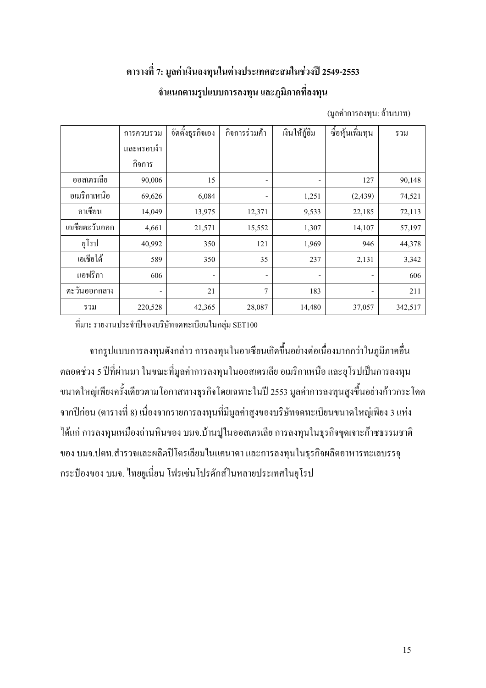### ิตารางที่ 7: มูลค่าเงินลงทุนในต่างประเทศสะสมในช่วงปี 2549-2553 ้จำแนกตามรูปแบบการลงทุน และภูมิภาคที่ลงทุน

|                | การควบรวม | จัดตั้งธุรกิจเอง         | กิจการร่วมค้า            | เงินให้กู้ขึ้ม           | ซื้อหุ้นเพิ่มทุน | รวม     |
|----------------|-----------|--------------------------|--------------------------|--------------------------|------------------|---------|
|                | และครอบงำ |                          |                          |                          |                  |         |
|                | กิจการ    |                          |                          |                          |                  |         |
| ออสเตรเลีย     | 90,006    | 15                       | -                        |                          | 127              | 90,148  |
| อเมริกาเหนือ   | 69,626    | 6,084                    | $\overline{\phantom{a}}$ | 1,251                    | (2, 439)         | 74,521  |
| อาเซียน        | 14,049    | 13,975                   | 12,371                   | 9,533                    | 22,185           | 72,113  |
| เอเชียตะวันออก | 4,661     | 21,571                   | 15,552                   | 1,307                    | 14,107           | 57,197  |
| ยุโรป          | 40,992    | 350                      | 121                      | 1,969                    | 946              | 44,378  |
| เอเชียใต้      | 589       | 350                      | 35                       | 237                      | 2,131            | 3,342   |
| แอฟริกา        | 606       | $\overline{\phantom{a}}$ | -                        | $\overline{\phantom{a}}$ | ۰                | 606     |
| ตะวันออกกลาง   | -         | 21                       | 7                        | 183                      |                  | 211     |
| รวม            | 220,528   | 42,365                   | 28,087                   | 14,480                   | 37,057           | 342,517 |

(มลค่าการลงทน: ล้านบาท)

ที่มา: รายงานประจำปีของบริษัทจดทะเบียนในกลุ่ม SET100

้จากรูปแบบการลงทุนดังกล่าว การลงทุนในอาเซียนเกิดขึ้นอย่างต่อเนื่องมากกว่าในภูมิภาคอื่น ้ตลอดช่วง 5 ปีที่ผ่านมา ในขณะที่มูลค่าการลงทุนในออสเตรเลีย อเมริกาเหนือ และยุโรปเป็นการลงทุน ึ ขนาดใหญ่เพียงครั้งเดียวตามโอกาสทางธุรกิจโดยเฉพาะในปี 2553 มูลค่าการลงทุนสูงขึ้นอย่างก้าวกระโดด ิจากปีก่อน (ตารางที่ 8) เนื่องจากรายการลงทุนที่มีมูลค่าสูงของบริษัทจดทะเบียนขนาดใหญ่เพียง 3 แห่ง ใด้แก่ การลงทุนเหมืองถ่านหินของ บมจ.บ้านปูในออสเตรเลีย การลงทุนในธุรกิจขุดเจาะก๊าซธรรมชาติ ของ บมจ.ปตท.สำรวจและผลิตปีโตรเลียมในแคนาดา และการลงทุนในธุรกิจผลิตอาหารทะเลบรรจุ ึกระป้องของ บมจ. ใทยยูเนี่ยน โฟรเซ่นโปรดักส์ในหลายประเทศในยุโรป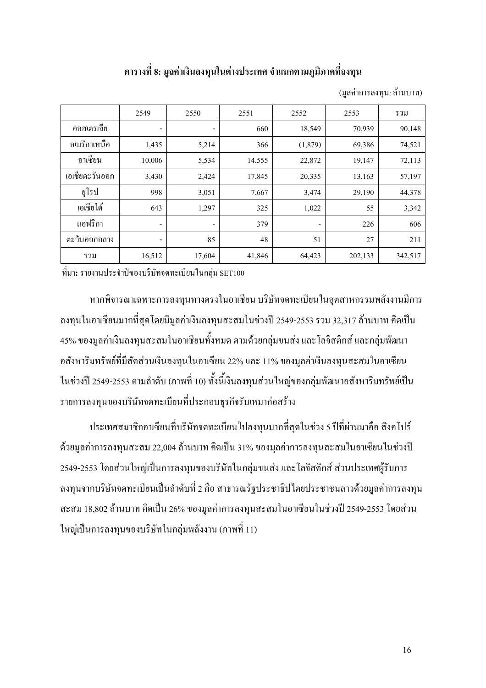#### ี ตารางที่ 8: มูลค่าเงินลงทุนในต่างประเทศ จำแนกตามภูมิภาคที่ลงทุน

(มูลค่าการลงทุน: ล้านบาท)

|                | 2549   | 2550   | 2551   | 2552                     | 2553    | รวม     |
|----------------|--------|--------|--------|--------------------------|---------|---------|
| ออสเตรเลีย     | -      | -      | 660    | 18,549                   | 70,939  | 90,148  |
| อเมริกาเหนือ   | 1,435  | 5,214  | 366    | (1,879)                  | 69,386  | 74,521  |
| อาเซียน        | 10,006 | 5,534  | 14,555 | 22,872                   | 19,147  | 72,113  |
| เอเชียตะวันออก | 3,430  | 2,424  | 17,845 | 20,335                   | 13,163  | 57,197  |
| ยุโรป          | 998    | 3,051  | 7,667  | 3,474                    | 29,190  | 44,378  |
| เอเชียใต้      | 643    | 1,297  | 325    | 1,022                    | 55      | 3,342   |
| แอฟริกา        | -      | -      | 379    | $\overline{\phantom{a}}$ | 226     | 606     |
| ตะวันออกกลาง   | -      | 85     | 48     | 51                       | 27      | 211     |
| รวม            | 16,512 | 17,604 | 41,846 | 64,423                   | 202,133 | 342,517 |

ที่มา: รายงานประจำปีของบริษัทจดทะเบียนในกลุ่ม SET100

หากพิจารณาเฉพาะการลงทุนทางตรงในอาเซียน บริษัทจดทะเบียนในอุตสาหกรรมพลังงานมีการ ้ลงทุนในอาเซียนมากที่สุดโดยมีมูลค่าเงินลงทุนสะสมในช่วงปี 2549-2553 รวม 32,317 ล้านบาท คิดเป็น 45% ของมูลค่าเงินลงทุนสะสมในอาเซียนทั้งหมด ตามด้วยกลุ่มขนส่ง และโลจิสติกส์ และกลุ่มพัฒนา อสังหาริมทรัพย์ที่มีสัดส่วนเงินลงทุนในอาเซียน 22% และ 11% ของมูลค่าเงินลงทุนสะสมในอาเซียน ในช่วงปี 2549-2553 ตามลำดับ (ภาพที่ 10) ทั้งนี้เงินลงทุนส่วนใหญ่ของกลุ่มพัฒนาอสังหาริมทรัพย์เป็น รายการลงทุนของบริษัทจดทะเบียนที่ประกอบธุรกิจรับเหมาก่อสร้าง

ี ประเทศสมาชิกอาเซียนที่บริษัทจดทะเบียนไปลงทุนมากที่สุดในช่วง 5 ปีที่ผ่านมาคือ สิงคโปร์ ้ด้วยมูลค่าการลงทุนสะสม 22,004 ล้านบาท คิดเป็น 31% ของมูลค่าการลงทุนสะสมในอาเซียนในช่วงปี 2549-2553 โดยส่วนใหญ่เป็นการลงทุนของบริษัทในกลุ่มขนส่ง และโลจิสติกส์ ส่วนประเทศผู้รับการ ิลงทุนจากบริษัทจดทะเบียนเป็นลำดับที่ 2 คือ สาธารณรัฐประชาธิปไตยประชาชนลาวด้วยมูลค่าการลงทุน ิสะสม 18,802 ล้านบาท คิดเป็น 26% ของมลค่าการลงทนสะสมในอาเซียนในช่วงปี 2549-2553 โดยส่วน ใหญ่เป็นการลงทุนของบริษัทในกลุ่มพลังงาน (ภาพที่ 11)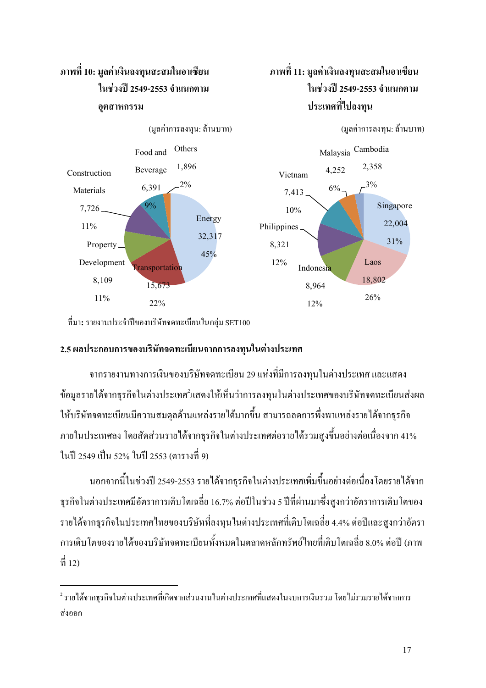

ที่มา: รายงานประจำปีของบริษัทจคทะเบียนในกลุ่ม SET100

 $\overline{a}$ 

#### 2.5 ผลประกอบการของบริษัทจดทะเบียนจากการลงทุนในต่างประเทศ

จากรายงานทางการเงินของบริษัทจดทะเบียน 29 แห่งที่มีการลงทุนในต่างประเทศ และแสดง ข้อมูลรายใด้จากธุรกิจในต่างประเทศ<sup>ว</sup>แสดงให้เห็นว่าการลงทุนในต่างประเทศของบริษัทจดทะเบียนส่งผล ให้บริษัทจดทะเบียนมีความสมดุลด้านแหล่งรายได้มากขึ้น สามารถลดการพึ่งพาแหล่งรายได้จากธุรกิจ ภายในประเทศลง โดยสัดส่วนรายใด้จากธุรกิจในต่างประเทศต่อรายใด้รวมสูงขึ้นอย่างต่อเนื่องจาก 41% ในปี 2549 เป็น 52% ในปี 2553 (ตารางที่ 9)

นอกจากนี้ในช่วงปี 2549-2553 รายใค้จากธุรกิจในต่างประเทศเพิ่มขึ้นอย่างต่อเนื่อง โคยรายใค้จาก ธุรกิจในต่างประเทศมีอัตราการเติบโตเฉลี่ย 16.7% ต่อปีในช่วง 5 ปีที่ผ่านมาซึ่งสูงกว่าอัตราการเติบโตของ รายใด้จากธุรกิจในประเทศไทยของบริษัทที่ลงทุนในต่างประเทศที่เติบโตเฉลี่ย 4.4% ต่อปีและสูงกว่าอัตรา การเติบโตของรายใด้ของบริษัทจดทะเบียนทั้งหมดในตลาดหลักทรัพย์ใทยที่เติบโตเฉลี่ย 8.0% ต่อปี (ภาพ  $\vec{\hat{\eta}}$  12)

 $^{\rm 2}$ รายใด้จากธุรกิจในต่างประเทศที่เกิดจากส่วนงานในต่างประเทศที่แสดงในงบการเงินรวม โดยใม่รวมรายใด้จากการ ส่งออก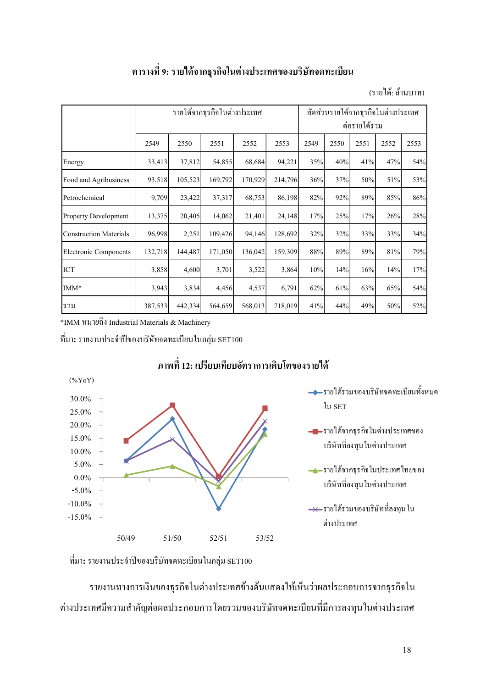#### ตารางที่ 9: รายใด้จากธุรกิจในต่างประเทศของบริษัทจดทะเบียน

(รายได้: ถ้านบาท)

|                               | รายใค้จากธุรกิจในต่างประเทศ |         |         |         |         |        | สัดส่วนรายใด้จากธุรกิจในต่างประเทศ<br>ต่อรายใด้รวม |      |      |      |  |
|-------------------------------|-----------------------------|---------|---------|---------|---------|--------|----------------------------------------------------|------|------|------|--|
|                               | 2549                        | 2550    | 2551    | 2552    | 2553    | 2549   | 2550                                               | 2551 | 2552 | 2553 |  |
| Energy                        | 33,413                      | 37,812  | 54,855  | 68,684  | 94,221  | 35%    | 40%                                                | 41%  | 47%  | 54%  |  |
| Food and Agribusiness         | 93,518                      | 105,523 | 169,792 | 170,929 | 214,796 | 36%    | 37%                                                | 50%  | 51%  | 53%  |  |
| Petrochemical                 | 9,709                       | 23,422  | 37,317  | 68,753  | 86,198  | 82%    | 92%                                                | 89%  | 85%  | 86%  |  |
| <b>Property Development</b>   | 13,375                      | 20,405  | 14,062  | 21,401  | 24,148  | 17%    | 25%                                                | 17%  | 26%  | 28%  |  |
| <b>Construction Materials</b> | 96,998                      | 2,251   | 109,426 | 94,146  | 128,692 | 32%    | 32%                                                | 33%  | 33%  | 34%  |  |
| <b>Electronic Components</b>  | 132,718                     | 144,487 | 171,050 | 136,042 | 159,309 | $88\%$ | 89%                                                | 89%  | 81%  | 79%  |  |
| <b>ICT</b>                    | 3,858                       | 4,600   | 3,701   | 3,522   | 3,864   | 10%    | 14%                                                | 16%  | 14%  | 17%  |  |
| IMM*                          | 3,943                       | 3,834   | 4,456   | 4,537   | 6,791   | 62%    | 61%                                                | 63%  | 65%  | 54%  |  |
| รวม                           | 387,533                     | 442,334 | 564,659 | 568,013 | 718,019 | 41%    | 44%                                                | 49%  | 50%  | 52%  |  |

\*IMM หมายถึง Industrial Materials & Machinery

ที่มา**:** รายงานประจำปีของบริษัทจคทะเบียนในกลุ่ม SET100



### ภาพที่ 12: เปรียบเทียบอัตราการเติบโตของรายได้

ที่มา: รายงานประจำปีของบริษัทจดทะเบียนในกลุ่ม SET100

รายงานทางการเงินของธุรกิจในต่างประเทศข้างต้นแสดงให้เห็นว่าผลประกอบการจากธุรกิจใน ต่างประเทศมีความสำคัญต่อผลประกอบการ โดยรวมของบริษัทจดทะเบียนที่มีการลงทุนในต่างประเทศ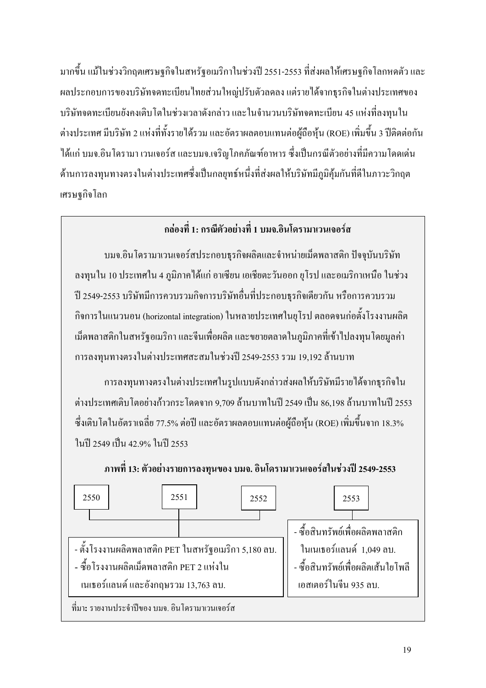้มากขึ้น แม้ในช่วงวิกฤตเศรษฐกิจในสหรัฐอเมริกาในช่วงปี 2551-2553 ที่ส่งผลให้เศรษฐกิจโลกหดตัว และ ผลประกอบการของบริษัทจดทะเบียนไทยส่วนใหญ่ปรับตัวลดลง แต่รายได้จากธุรกิจในต่างประเทศของ ้ บริษัทจดทะเบียนยังคงเติบโตในช่วงเวลาดังกล่าว และในจำนวนบริษัทจดทะเบียน 45 แห่งที่ลงทุนใน ต่างประเทศ มีบริษัท 2 แห่งที่ทั้งรายได้รวม และอัตราผลตอบแทนต่อผู้ถือหุ้น (ROE) เพิ่มขึ้น 3 ปีติดต่อกัน ได้แก่ บมจ.อินโครามา เวนเจอร์ส และบมจ.เจริญโภคภัณฑ์อาหาร ซึ่งเป็นกรณีตัวอย่างที่มีความโดดเด่น ด้านการลงทุนทางตรงในต่างประเทศซึ่งเป็นกลยุทธ์หนึ่งที่ส่งผลให้บริษัทมีภูมิคุ้มกันที่ดีในภาวะวิกฤต เศรษจกิจโลก

### ึกล่องที่ 1: กรณีตัวอย่างที่ 1 บมจ.อินโดรามาเวนเจอร์ส

็บมจ.อินโครามาเวนเจอร์สประกอบธุรกิจผลิตและจำหน่ายเม็ดพลาสติก ปัจจุบันบริษัท ลงทุนใน 10 ประเทศใน 4 ภูมิภาคได้แก่ อาเซียน เอเชียตะวันออก ยุโรป และอเมริกาเหนือ ในช่วง ปี 2549-2553 บริษัทมีการควบรวมกิจการบริษัทอื่นที่ประกอบธุรกิจเดียวกัน หรือการควบรวม ้กิจการในแนวนอน (horizontal integration) ในหลายประเทศในยุโรป ตลอดจนก่อตั้งโรงงานผลิต ้เม็ดพลาสติกในสหรัฐอเมริกา และจีนเพื่อผลิต และขยายตลาดในภูมิภาคที่เข้าไปลงทุน โดยมูลค่า ิการลงทุนทางตรงในต่างประเทศสะสมในช่วงปี 2549-2553 รวม 19,192 ล้านบาท

การลงทุนทางตรงในต่างประเทศในรูปแบบดังกล่าวส่งผลให้บริษัทมีรายได้จากธุรกิจใน ต่างประเทศเติบโตอย่างก้าวกระโดดจาก 9.709 ล้านบาทในปี 2549 เป็น 86.198 ล้านบาทในปี 2553 ซึ่งเติบโตในอัตราเฉลี่ย 77.5% ต่อปี และอัตราผลตอบแทนต่อผู้ถือหุ้น (ROE) เพิ่มขึ้นจาก 18.3% ในปี 2549 เป็น 42.9% ในปี 2553

ึภาพที่ 13: ตัวอย่างรายการลงทุนของ บมจ. อินโครามาเวนเจอร์สในช่วงปี 2549-2553

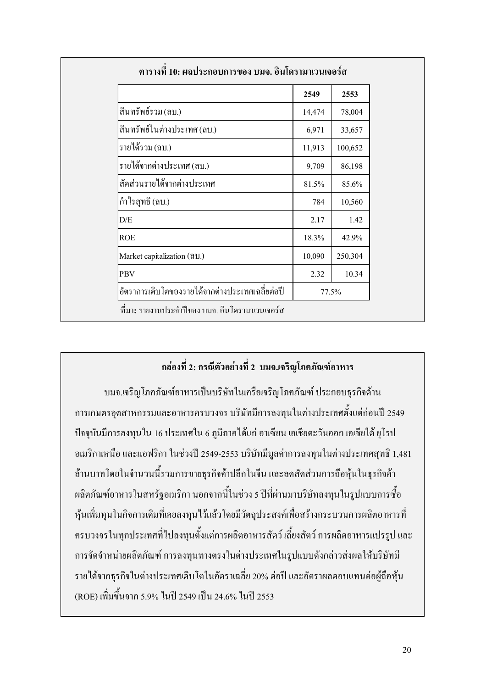|                                                 | 2549   | 2553    |  |
|-------------------------------------------------|--------|---------|--|
| สินทรัพย์รวม (ลบ.)                              | 14,474 | 78,004  |  |
| สินทรัพย์ในต่างประเทศ (ลบ.)                     | 6,971  | 33,657  |  |
| รายได้รวม (ลบ.)                                 | 11,913 | 100,652 |  |
| รายได้จากต่างประเทศ (ถบ.)                       | 9,709  | 86,198  |  |
| สัดส่วนรายใด้จากต่างประเทศ                      | 81.5%  | 85.6%   |  |
| กำไรสุทธิ (ลบ.)                                 | 784    | 10,560  |  |
| D/E                                             | 2.17   | 1.42    |  |
| <b>ROE</b>                                      | 18.3%  | 42.9%   |  |
| Market capitalization (all.)                    | 10,090 | 250,304 |  |
| <b>PBV</b>                                      | 2.32   | 10.34   |  |
| อัตราการเติบโตของรายใด้จากต่างประเทศเฉลี่ยต่อปี | 77.5%  |         |  |

### ึกล่องที่ 2: กรณีตัวอย่างที่ 2 บมจ.เจริญโภคภัณฑ์อาหาร

้บมจ.เจริญโภคภัณฑ์อาหารเป็นบริษัทในเครือเจริญโภคภัณฑ์ ประกอบธุรกิจด้าน ึการเกษตรอุตสาหกรรมและอาหารครบวงจร บริษัทมีการลงทุนในต่างประเทศตั้งแต่ก่อนปี 2549 ปัจจุบันมีการลงทุนใน 16 ประเทศใน 6 ภูมิภาคใด้แก่ อาเซียน เอเชียตะวันออก เอเชียใต้ ยุโรป อเมริกาเหนือ และแอฟริกา ในช่วงปี 2549-2553 บริษัทมีมูลค่าการลงทุนในต่างประเทศสุทธิ 1,481 ้ด้านบาทโดยในจำนวนนี้รวมการขายธุรกิจค้าปลีกในจีน และลดสัดส่วนการถือหุ้นในธุรกิจค้า ผลิตภัณฑ์อาหารในสหรัฐอเมริกา นอกจากนี้ในช่วง 5 ปีที่ผ่านมาบริษัทลงทุนในรูปแบบการซื้อ หุ้นเพิ่มทุนในกิจการเคิมที่เคยลงทุนไว้แล้วโคยมีวัตถุประสงค์เพื่อสร้างกระบวนการผลิตอาหารที่ ้ ครบวงจรในทุกประเทศที่ไปลงทุนตั้งแต่การผลิตอาหารสัตว์ เลี้ยงสัตว์ การผลิตอาหารแปรรูป และ ึการจัดจำหน่ายผลิตภัณฑ์ การลงทุนทางตรงในต่างประเทศในรูปแบบดังกล่าวส่งผลให้บริษัทมี ้รายได้จากธุรกิจในต่างประเทศเติบโตในอัตราเฉลี่ย 20% ต่อปี และอัตราผลตอบแทนต่อผู้ถือหุ้น (ROE) เพิ่มขึ้นจาก 5.9% ในปี 2549 เป็น 24.6% ในปี 2553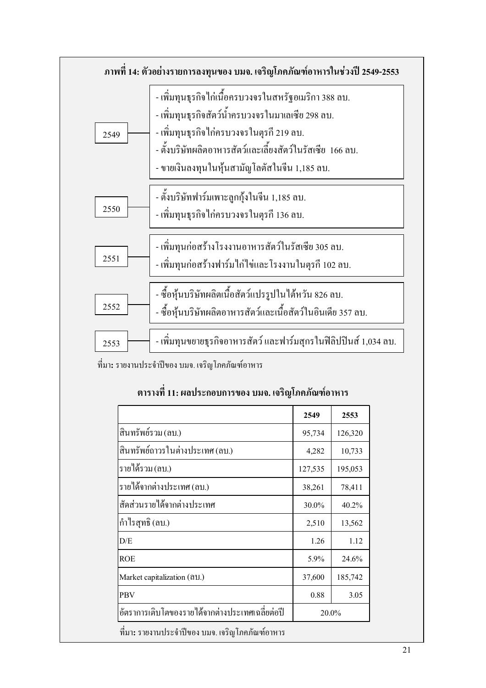

ที่มา: รายงานประจำปีของ บมจ. เจริญโภคภัณฑ์อาหาร

#### ี ตารางที่ 11: ผลประกอบการของ บมจ. เจริญโภคภัณฑ์อาหาร

|                                                 | 2549    | 2553    |  |
|-------------------------------------------------|---------|---------|--|
| สินทรัพย์รวม (ลบ.)                              | 95,734  | 126,320 |  |
| สินทรัพย์ถาวรในต่างประเทศ (ลบ.)                 | 4,282   | 10,733  |  |
| รายได้รวม (ลบ.)                                 | 127,535 | 195,053 |  |
| รายใด้จากต่างประเทศ (ลบ.)                       | 38,261  | 78,411  |  |
| สัดส่วนรายใด้จากต่างประเทศ                      | 30.0%   | 40.2%   |  |
| กำไรสุทธิ (ลบ.)                                 | 2,510   | 13,562  |  |
| D/E                                             | 1.26    | 1.12    |  |
| ROE                                             | 5.9%    | 24.6%   |  |
| Market capitalization (611.)                    | 37,600  | 185,742 |  |
| PBV                                             | 0.88    | 3.05    |  |
| อัตราการเติบโตของรายใด้จากต่างประเทศเฉลี่ยต่อปี |         |         |  |
|                                                 | 20.0%   |         |  |

้ที่มา: รายงานประจำปีของ บมจ. เจริญโภคภัณฑ์อาหาร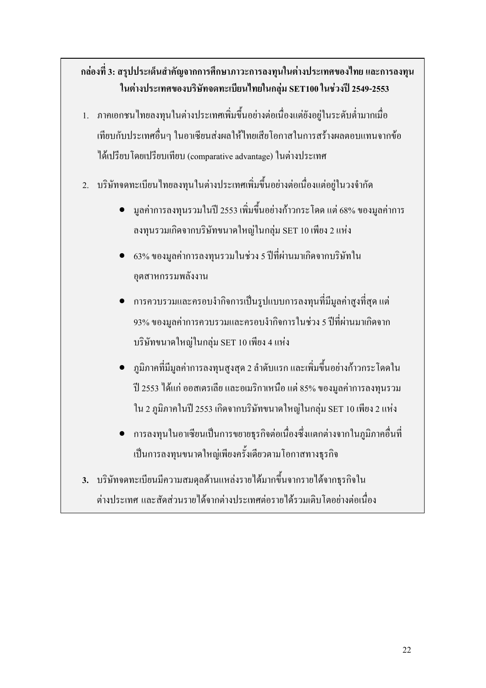### ึกล่องที่ 3: สรุปประเด็นสำคัญจากการศึกษาภาวะการลงทุนในต่างประเทศของไทย และการลงทุน ในต่างประเทศของบริษัทจดทะเบียนไทยในกลุ่ม SET100 ในช่วงปี 2549-2553

- 1. ภาคเอกชนไทยลงทุนในต่างประเทศเพิ่มขึ้นอย่างต่อเนื่องแต่ยังอยู่ในระดับต่ำมากเมื่อ เทียบกับประเทศอื่นๆ ในอาเซียนส่งผลให้ไทยเสียโอกาสในการสร้างผลตอบแทนจากข้อ ใด้เปรียบโดยเปรียบเทียบ (comparative advantage) ในต่างประเทศ
- ่ 2. บริษัทจดทะเบียนไทยลงทนในต่างประเทศเพิ่มขึ้นอย่างต่อเนื่องแต่อย่ในวงจำกัด
	- ้มูลค่าการลงทุนรวมในปี 2553 เพิ่มขึ้นอย่างก้าวกระ โดด แต่ 68% ของมูลค่าการ  $\bullet$ ลงทุนรวมเกิดจากบริษัทขนาดใหญ่ในกลุ่ม SET 10 เพียง 2 แห่ง
	- ่ 63% ของมลค่าการลงทนรวมในช่วง 5 ปีที่ผ่านมาเกิดจากบริษัทใน อุตสาหกรรมพลังงาน
	- ่ การควบรวมและครอบงำกิจการเป็นรูปแบบการลงทุนที่มีมูลค่าสูงที่สุด แต่ ่ 93% ของมูลค่าการควบรวมและครอบงำกิจการในช่วง 5 ปีที่ผ่านมาเกิดจาก บริษัทขนาดใหญ่ในกลุ่ม SET 10 เพียง 4 แห่ง
	- ภูมิภาคที่มีมูลค่าการลงทุนสูงสุด 2 ลำดับแรก และเพิ่มขึ้นอย่างก้าวกระ โดดใน ปี 2553 ใด้แก่ ออสเตรเลีย และอเมริกาเหนือ แต่ 85% ของมูลค่าการลงทุนรวม ใน 2 ภูมิภาคในปี 2553 เกิดจากบริษัทขนาดใหญ่ในกลุ่ม SET 10 เพียง 2 แห่ง
	- การลงทุนในอาเซียนเป็นการขยายธุรกิจต่อเนื่องซึ่งแตกต่างจากในภูมิภาคอื่นที่ เป็นการลงทุนขนาดใหญ่เพียงครั้งเดียวตามโอกาสทางธุรกิจ
- 3. บริษัทจคทะเบียนมีความสมดุลด้านแหล่งรายได้มากขึ้นจากรายได้จากธุรกิจใน ต่างประเทศ และสัดส่วนรายได้จากต่างประเทศต่อรายได้รวมเติบโตอย่างต่อเนื่อง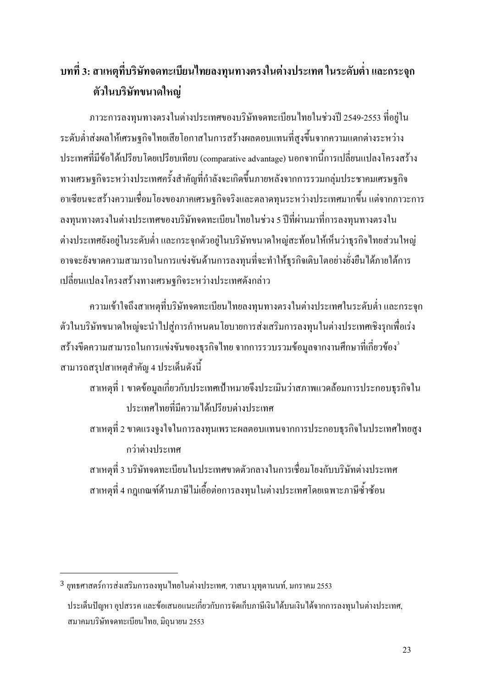### ิบทที่ 3: สาเหตุที่บริษัทจดทะเบียนไทยลงทุนทางตรงในต่างประเทศ ในระดับต่ำ และกระจุก ตัวในบริษัทขนาดใหญ่

ิภาวะการลงทุนทางตรงในต่างประเทศของบริษัทจดทะเบียนไทยในช่วงปี 2549-2553 ที่อยู่ใน ระดับต่ำส่งผลให้เศรษฐกิจไทยเสียโอกาสในการสร้างผลตอบแทนที่สูงขึ้นจากความแตกต่างระหว่าง ประเทศที่มีข้อได้เปรียบโดยเปรียบเทียบ (comparative advantage) นอกจากนี้การเปลี่ยนแปลงโครงสร้าง ทางเศรษฐกิจระหว่างประเทศครั้งสำคัญที่กำลังจะเกิดขึ้นภายหลังจากการรวมกลุ่มประชาคมเศรษฐกิจ ้อาเซียนจะสร้างความเชื่อมโยงของภาคเศรษฐกิจจริงและตลาดทุนระหว่างประเทศมากขึ้น แต่จากภาวะการ ิลงทุนทางตรงในต่างประเทศของบริษัทจดทะเบียนไทยในช่วง 5 ปีที่ผ่านมาที่การลงทุนทางตรงใน ้ต่างประเทศยังอยู่ในระดับต่ำ และกระจุกตัวอยู่ในบริษัทขนาดใหญ่สะท้อนให้เห็นว่าธุรกิจไทยส่วนใหญ่ อาจจะยังขาดความสามารถในการแข่งขันด้านการลงทุนที่จะทำให้ธุรกิจเติบโตอย่างยั่งยืนได้ภายใต้การ เปลี่ยนแปลงโครงสร้างทางเศรษฐกิจระหว่างประเทศดังกล่าว

้ความเข้าใจถึงสาเหตุที่บริษัทจดทะเบียนไทยลงทุนทางตรงในต่างประเทศในระดับต่ำ และกระจุก ตัวในบริษัทขนาดใหญ่จะนำไปส่การกำหนดนโยบายการส่งเสริมการลงทนในต่างประเทศเชิงรกเพื่อเร่ง ิสร้างขีดความสามารถในการแข่งขันของธุรกิจไทย จากการรวบรวมข้อมูลจากงานศึกษาที่เกี่ยวข้อง<sup>3</sup> ี สามารถสรุปสาเหตุสำคัญ 4 ประเด็นดังนี้

- ี สาเหตุที่ 1 ขาดข้อมูลเกี่ยวกับประเทศเป้าหมายจึงประเมินว่าสภาพแวดล้อมการประกอบธุรกิจใน าโระเทศไทยที่มีความได้เปรียบต่างประเทศ
- ี สาเหตุที่ 2 ขาดแรงจูงใจในการลงทุนเพราะผลตอบแทนจากการประกอบธุรกิจในประเทศไทยสูง กว่าต่างประเทศ

ี สาเหตที่ 3 บริษัทจดทะเบียนในประเทศขาดตัวกลางในการเชื่อมโยงกับบริษัทต่างประเทศ ี สาเหตุที่ 4 กฎเกณฑ์ด้านภาษี ไม่เอื้อต่อการลงทุนในต่างประเทศโดยเฉพาะภาษีซ้ำซ้อน

 $^3$  ยทธศาสตร์การส่งเสริมการลงทนไทยในต่างประเทศ, วาสนา มทตานนท์, มกราคม 2553 ประเด็นปัญหา อปสรรค และข้อเสนอแนะเกี่ยวกับการจัดเก็บภาษีเงิน ได้บนเงิน ได้จากการลงทนในต่างประเทศ, สมาคมบริษัทจดทะเบียนใทย, มิถนายน 2553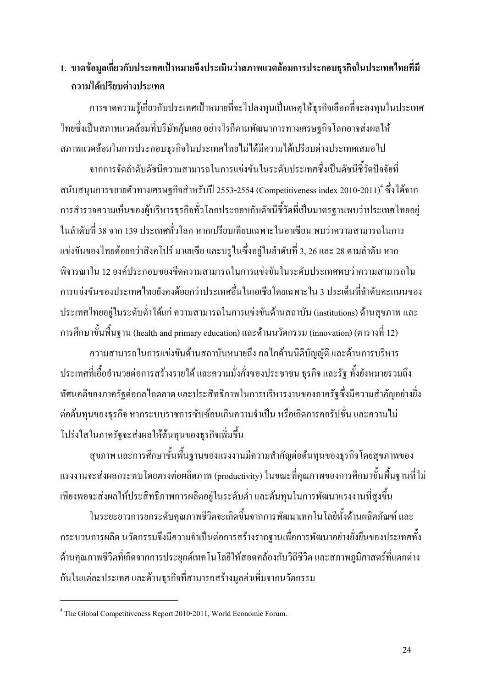### 1. ขาดข้อมูลเกี่ยวกับประเทศเป้าหมายจึงประเมินว่าสภาพแวดล้อมการประกอบธุรกิจในประเทศไทยที่มี ความได้เปรียบต่างประเทศ

้การขาดความรู้เกี่ยวกับประเทศเป้าหมายที่จะไปลงทุนเป็นเหตุให้ธุรกิจเลือกที่จะลงทุนในประเทศ ใทยซึ่งเป็นสภาพแวดล้อมที่บริษัทคุ้นเคย อย่างไรก็ตามพัฒนาการทางเศรษฐกิจโลกอาจส่งผลให้ ิสภาพแวดล้อมในการประกอบธุรกิจในประเทศไทยไม่ได้มีความได้เปรียบต่างประเทศเสมอไป

จากการจัดลำดับดัชนีความสามารถในการแข่งขันในระดับประเทศซึ่งเป็นดัชนีชี้วัดปัจจัยที่ ิสนับสนุนการขยายตัวทางเศรษฐกิจสำหรับปี 2553-2554 (Competitiveness index 2010-2011) <sup>4</sup> ซึ่งได้จาก ึการสำรวจความเห็นของผู้บริหารธุรกิจทั่วโลกประกอบกับดัชนีชี้วัดที่เป็นมาตรฐานพบว่าประเทศไทยอยู่ ในลำดับที่ 38 จาก 139 ประเทศทั่วโลก หากเปรียบเทียบเฉพาะในอาเซียน พบว่าความสามารถในการ แข่งขันของไทยด้อยกว่าสิงคโปร์ มาเลเซีย และบรูไนซึ่งอยู่ในลำดับที่ 3, 26 และ 28 ตามลำดับ หาก ้พิจารณาใน 12 องค์ประกอบของขีดความสามารถในการแข่งขันในระดับประเทศพบว่าความสามารถใน ้การแข่งขับของประเทศไทยยังคงด้อยกว่าประเทศอื่นใบเอเชียโดยเฉพาะใบ 3 ประเด็นที่ลำดับคะแบบของ ประเทศไทยอยู่ในระดับต่ำได้แก่ ความสามารถในการแข่งขันด้านสถาบัน (institutions) ด้านสุขภาพ และ การศึกษาขั้นพื้นฐาน (health and primary education) และด้านนวัตกรรม (innovation) (ตารางที่ 12)

้ความสามารถในการแข่งขันด้านสถาบันหมายถึง กลไกด้านนิติบัญญัติ และด้านการบริหาร ประเทศที่เอื้ออำนวยต่อการสร้างรายใด้ และความมั่งคั่งของประชาชน ธุรกิจ และรัฐ ทั้งยังหมายรวมถึง ้ทัศนคติของภาครัฐต่อกลไกตลาด และประสิทธิภาพในการบริหารงานของภาครัฐซึ่งมีความสำคัญอย่างยิ่ง ต่อต้นทุนของธุรกิจ หากระบบราชการซับซ้อนเกินความจำเป็น หรือเกิดการคอรัปชั่น และความไม่ โปร่งใสในภาครัฐจะส่งผลให้ต้นทุนของธุรกิจเพิ่มขึ้น

ี่ สุขภาพ และการศึกษาขั้นพื้นฐานของแรงงานมีความสำคัญต่อต้นทุนของธุรกิจโดยสุขภาพของ แรงงานจะส่งผลกระทบโดยตรงต่อผลิตภาพ (productivity) ในขณะที่คุณภาพของการศึกษาขั้นพื้นฐานที่ไม่ ้เพียงพอจะส่งผลให้ประสิทธิภาพการผลิตอย่ในระดับต่ำ และต้นทนในการพัฒนาแรงงานที่สงขึ้น

ในระยะยาวการยกระดับคุณภาพชีวิตจะเกิดขึ้นจากการพัฒนาเทคโนโลยีทั้งด้านผลิตภัณฑ์ และ ึกระบวนการผลิต นวัตกรรมจึงมีความจำเป็นต่อการสร้างรากฐานเพื่อการพัฒนาอย่างยั่งยืนของประเทศทั้ง ้ด้านคุณภาพชีวิตที่เกิดจากการประยุกต์เทคโนโลยีให้สอดคล้องกับวิถีชีวิต และสภาพภูมิศาสตร์ที่แตกต่าง ้กันในแต่ละประเทศ และด้านธรกิจที่สามารถสร้างมลค่าเพิ่มจากนวัตกรรม

<sup>&</sup>lt;sup>4</sup> The Global Competitiveness Report 2010-2011, World Economic Forum.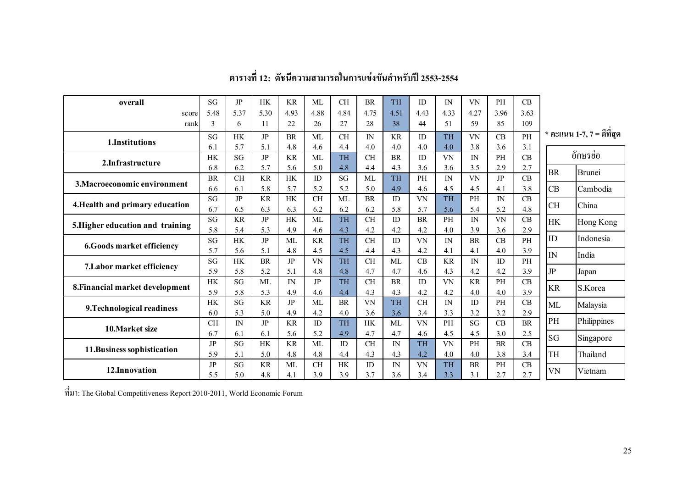| overall                          | SG               | JP               | <b>HK</b>        | <b>KR</b>           | <b>ML</b> | <b>CH</b> | <b>BR</b>        | <b>TH</b>        | ID               | $\mathbb{N}$ | <b>VN</b>        | <b>PH</b>    | CB        |             |                             |  |
|----------------------------------|------------------|------------------|------------------|---------------------|-----------|-----------|------------------|------------------|------------------|--------------|------------------|--------------|-----------|-------------|-----------------------------|--|
| score                            | 5.48             | 5.37             | 5.30             | 4.93                | 4.88      | 4.84      | 4.75             | 4.51             | 4.43             | 4.33         | 4.27             | 3.96         | 3.63      |             |                             |  |
| rank                             | 3                | 6                | 11               | 22                  | 26        | 27        | 28               | 38               | 44               | 51           | 59               | 85           | 109       |             |                             |  |
| 1.Institutions                   | SG               | <b>HK</b>        | JP               | <b>BR</b>           | ML        | <b>CH</b> | $\mathbb{N}$     | KR               | ID               | <b>TH</b>    | VN               | CB           | PH        |             | $*$ คะแนน 1-7, 7 = ดีที่สุด |  |
|                                  | 6.1              | 5.7              | 5.1              | 4.8                 | 4.6       | 4.4       | 4.0              | 4.0              | 4.0              | 4.0          | 3.8              | 3.6          | 3.1       |             |                             |  |
| 2.Infrastructure                 | HK               | SG               | JP               | <b>KR</b>           | ML        | <b>TH</b> | <b>CH</b>        | <b>BR</b>        | ID               | VN           | IN               | <b>PH</b>    | CB        |             | อักษรย่อ                    |  |
|                                  | 6.8              | 6.2              | 5.7              | 5.6                 | 5.0       | 4.8       | 4.4              | 4.3              | 3.6              | 3.6          | 3.5              | 2.9          | 2.7       | <b>BR</b>   | <b>Brunei</b>               |  |
| 3. Macroeconomic environment     | <b>BR</b>        | <b>CH</b>        | <b>KR</b>        | <b>HK</b>           | ID        | SG        | ML               | <b>TH</b>        | PH               | ${\rm IN}$   | VN               | JP           | CB        |             |                             |  |
|                                  | 6.6              | 6.1              | 5.8              | 5.7                 | 5.2       | 5.2       | 5.0              | 4.9              | 4.6              | 4.5          | 4.5              | 4.1          | 3.8       | <b>CB</b>   | Cambodia                    |  |
| 4. Health and primary education  | SG               | JP               | <b>KR</b>        | <b>HK</b>           | <b>CH</b> | ML        | <b>BR</b>        | ID               | VN               | TH           | PH               | $\mathbb{N}$ | CB        | <b>CH</b>   | China                       |  |
|                                  | 6.7              | 6.5              | 6.3              | 6.3                 | 6.2       | 6.2       | 6.2              | 5.8              | 5.7              | 5.6          | 5.4              | 5.2          | 4.8       |             |                             |  |
| 5. Higher education and training | SG               | <b>KR</b>        | JP               | <b>HK</b>           | ML        | <b>TH</b> | <b>CH</b>        | ID               | <b>BR</b>        | PH           | ${\rm IN}$       | VN           | CB        | <b>HK</b>   | Hong Kong                   |  |
|                                  | 5.8              | 5.4              | 5.3              | 4.9                 | 4.6       | 4.3       | 4.2              | 4.2              | 4.2              | 4.0          | 3.9              | 3.6          | 2.9       | ID          |                             |  |
| 6.Goods market efficiency        | SG               | <b>HK</b>        | JP               | ML                  | <b>KR</b> | <b>TH</b> | <b>CH</b>        | ID               | VN               | $\mathbb{N}$ | <b>BR</b>        | CB           | PH        |             | Indonesia                   |  |
|                                  | 5.7              | 5.6              | 5.1              | 4.8                 | 4.5       | 4.5       | 4.4              | 4.3              | 4.2              | 4.1          | 4.1              | 4.0          | 3.9       | IN          | India                       |  |
| 7. Labor market efficiency       | SG               | <b>HK</b>        | <b>BR</b>        | JP                  | VN        | <b>TH</b> | <b>CH</b>        | ML               | CB               | <b>KR</b>    | $\mathbb{N}$     | ID           | <b>PH</b> |             |                             |  |
|                                  | 5.9              | 5.8              | 5.2              | 5.1                 | 4.8       | 4.8       | 4.7              | 4.7              | 4.6              | 4.3          | 4.2              | 4.2          | 3.9       | $_{\rm IP}$ | Japan                       |  |
| 8. Financial market development  | <b>HK</b><br>5.9 | <b>SG</b><br>5.8 | <b>ML</b><br>5.3 | $\mathbb{N}$<br>4.9 | JP        | <b>TH</b> | <b>CH</b><br>4.3 | <b>BR</b><br>4.3 | ID               | VN<br>4.2    | <b>KR</b><br>4.0 | <b>PH</b>    | CB<br>3.9 | <b>KR</b>   | S.Korea                     |  |
|                                  | HK               | SG               | <b>KR</b>        | JP                  | 4.6<br>ML | 4.4<br>BR | <b>VN</b>        | <b>TH</b>        | 4.2<br><b>CH</b> | ${\rm IN}$   | ID               | 4.0<br>PH    | CB        |             |                             |  |
| 9. Technological readiness       | 6.0              | 5.3              | 5.0              | 4.9                 | 4.2       | 4.0       | 3.6              | 3.6              | 3.4              | 3.3          | 3.2              | 3.2          | 2.9       | ML          | Malaysia                    |  |
|                                  | <b>CH</b>        | ${\rm IN}$       | JP               | <b>KR</b>           | ID        | <b>TH</b> | HK               | <b>ML</b>        | <b>VN</b>        | PH           | SG               | CB           | $\rm{BR}$ | PH          | Philippines                 |  |
| 10. Market size                  | 6.7              | 6.1              | 6.1              | 5.6                 | 5.2       | 4.9       | 4.7              | 4.7              | 4.6              | 4.5          | 4.5              | 3.0          | 2.5       |             |                             |  |
|                                  | $_{\rm JP}$      | SG               | <b>HK</b>        | <b>KR</b>           | ML        | ID        | CH               | IN               | TH               | VN           | PH               | <b>BR</b>    | CB        | SG          | Singapore                   |  |
| 11. Business sophistication      | 5.9              | 5.1              | 5.0              | 4.8                 | 4.8       | 4.4       | 4.3              | 4.3              | 4.2              | 4.0          | 4.0              | 3.8          | 3.4       | TH          | Thailand                    |  |
|                                  | JP               | SG               | <b>KR</b>        | ML                  | <b>CH</b> | <b>HK</b> | ID               | IN               | VN               | <b>TH</b>    | <b>BR</b>        | PH           | CB        |             |                             |  |
| 12.Innovation                    | 5.5              | 5.0              | 4.8              | 4.1                 | 3.9       | 3.9       | 3.7              | 3.6              | 3.4              | 3.3          | 3.1              | 2.7          | 2.7       | VN          | Vietnam                     |  |

#### ตารางที่ 12: ดัชนีความสามารถในการแข่งขันสำหรับปี 2553-2554

 $\vec{\hat{n}}$ มา: The Global Competitiveness Report 2010-2011, World Economic Forum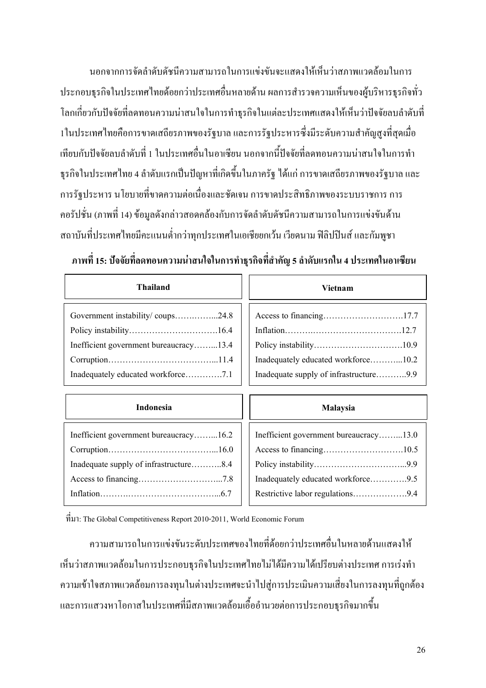นอกจากการจัดลำดับดัชนีความสามารถในการแข่งขันจะแสดงให้เห็นว่าสภาพแวดล้อมในการ ประกอบธุรกิจในประเทศไทยด้อยกว่าประเทศอื่นหลายด้าน ผลการสำรวจความเห็นของผู้บริหารธุรกิจทั่ว โลกเกี่ยวกับปัจจัยที่ลดทอนความน่าสนใจในการทำธรกิจในแต่ละประเทศแสดงให้เห็นว่าปัจจัยลบลำดับที่ 1ในประเทศไทยคือการขาดเสถียรภาพของรัฐบาล และการรัฐประหารซึ่งมีระดับความสำคัญสงที่สดเมื่อ ้เทียบกับปัจจัยลบลำคับที่ 1 ในประเทศอื่นในอาเซียน นอกจากนี้ปัจจัยที่ลดทอนความน่าสนใจในการทำ ่ ธุรกิจในประเทศไทย 4 ลำดับแรกเป็นปัญหาที่เกิดขึ้นในภาครัฐ ได้แก่ การขาดเสถียรภาพของรัฐบาล และ ี การรัฐประหาร นโยบายที่ขาดความต่อเนื่องและชัดเจน การขาดประสิทธิภาพของระบบราชการ การ ้ คอรัปชั่น (ภาพที่ 14) ข้อมูลดังกล่าวสอดคล้องกับการจัดลำดับดัชนีความสามารถในการแข่งขันด้าน ิสถาบันที่ประเทศไทยมีคะแนนต่ำกว่าทุกประเทศในเอเชียยกเว้น เวียดนาม ฟิลิปปินส์ และกัมพูชา

#### ี ภาพที่ 15: ปัจจัยที่ลดทอนความน่าสนใจในการทำธุรกิจที่สำคัญ 5 ลำดับแรกใน 4 ประเทศในอาเซียน

| <b>Thailand</b>                                                            | Vietnam                                                                       |  |  |  |
|----------------------------------------------------------------------------|-------------------------------------------------------------------------------|--|--|--|
| Government instability/coups24.8<br>Inefficient government bureaucracy13.4 | Inadequately educated workforce10.2<br>Inadequate supply of infrastructure9.9 |  |  |  |
| <b>Indonesia</b>                                                           | Malaysia                                                                      |  |  |  |
| Inefficient government bureaucracy16.2                                     |                                                                               |  |  |  |

 $\hat{\vec{n}}$ มา: The Global Competitiveness Report 2010-2011. World Economic Forum

้ความสามารถในการแข่งขันระดับประเทศของใทยที่ด้อยกว่าประเทศอื่นในหลายด้านแสดงให้ เห็นว่าสภาพแวดล้อมในการประกอบธุรกิจในประเทศไทยไม่ได้มีความได้เปรียบต่างประเทศ การเร่งทำ ้ความเข้าใจสภาพแวดล้อมการลงทุนในต่างประเทศจะนำไปสู่การประเมินความเสี่ยงในการลงทุนที่ถูกต้อง และการแสวงหาโอกาสในประเทศที่มีสภาพแวดล้อมเอื้ออำนวยต่อการประกอบธรกิจมากขึ้น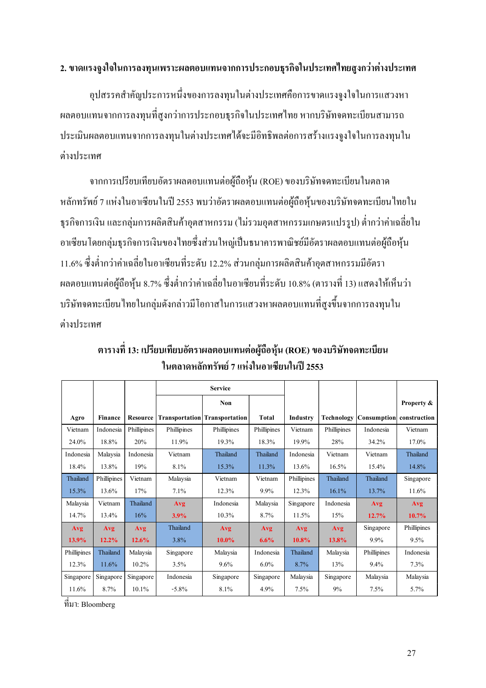#### 2. ขาดแรงจูงใจในการลงทุนเพราะผลตอบแทนจากการประกอบธุรกิจในประเทศไทยสูงกว่าต่างประเทศ

อุปสรรคสำคัญประการหนึ่งของการลงทุนในต่างประเทศคือการขาดแรงจูงใจในการแสวงหา ผลตอบแทนจากการลงทุนที่สูงกว่าการประกอบธุรกิจในประเทศไทย หากบริษัทจดทะเบียนสามารถ ประเมินผลตอบแทนจากการลงทุนในต่างประเทศได้จะมีอิทธิพลต่อการสร้างแรงจูงใจในการลงทุนใน ต่างประเทศ

จากการเปรียบเทียบอัตราผลตอบแทนต่อผู้ถือหุ้น (ROE) ของบริษัทจดทะเบียนในตลาด หลักทรัพย์ 7 แห่งในอาเซียนในปี 2553 พบว่าอัตราผลตอบแทนต่อผู้ถือหุ้นของบริษัทจดทะเบียนไทยใน ธุรกิจการเงิน และกลุ่มการผลิตสินค้าอุตสาหกรรม (ใม่รวมอุตสาหกรรมเกษตรแปรรูป) ต่ำกว่าค่าเฉลี่ยใน อาเซียน โดยกลุ่มธุรกิจการเงินของไทยซึ่งส่วนใหญ่เป็นธนาคารพาณิชย์มีอัตราผลตอบแทนต่อผู้ถือหุ้น 11.6% ซึ่งต่ำกว่าค่าเฉลี่ยในอาเซียนที่ระดับ 12.2% ส่วนกลุ่มการผลิตสินค้าอุตสาหกรรมมีอัตรา ผลตอบแทนต่อผู้ถือหุ้น 8.7% ซึ่งต่ำกว่าค่าเฉลี่ยในอาเซียนที่ระดับ 10.8% (ตารางที่ 13) แสดงให้เห็นว่า บริษัทจดทะเบียนไทยในกลุ่มดังกล่าวมีโอกาสในการแสวงหาผลตอบแทนที่สูงขึ้นจากการลงทุนใน ต่างประเทศ

|             |                |                 | <b>Service</b> |                                      |              |             |             |                          |             |
|-------------|----------------|-----------------|----------------|--------------------------------------|--------------|-------------|-------------|--------------------------|-------------|
|             |                |                 |                | <b>Non</b>                           |              |             |             |                          | Property &  |
| Agro        | <b>Finance</b> | <b>Resource</b> |                | <b>Transportation</b> Transportation | <b>Total</b> | Industry    | Technology  | Consumption construction |             |
| Vietnam     | Indonesia      | Phillipines     | Phillipines    | Phillipines                          | Phillipines  | Vietnam     | Phillipines | Indonesia                | Vietnam     |
| 24.0%       | 18.8%          | 20%             | 11.9%          | 19.3%                                | 18.3%        | 19.9%       | 28%         | 34.2%                    | $17.0\%$    |
| Indonesia   | Malaysia       | Indonesia       | Vietnam        | Thailand                             | Thailand     | Indonesia   | Vietnam     | Vietnam                  | Thailand    |
| 18.4%       | 13.8%          | 19%             | 8.1%           | 15.3%                                | 11.3%        | 13.6%       | 16.5%       | 15.4%                    | 14.8%       |
| Thailand    | Phillipines    | Vietnam         | Malaysia       | Vietnam                              | Vietnam      | Phillipines | Thailand    | Thailand                 | Singapore   |
| 15.3%       | 13.6%          | 17%             | 7.1%           | 12.3%                                | $9.9\%$      | 12.3%       | 16.1%       | 13.7%                    | 11.6%       |
| Malaysia    | Vietnam        | Thailand        | Avg            | Indonesia                            | Malaysia     | Singapore   | Indonesia   | Avg                      | Avg         |
| 14.7%       | 13.4%          | 16%             | 3.9%           | $10.3\%$                             | 8.7%         | 11.5%       | 15%         | 12.7%                    | $10.7\%$    |
| Avg         | <b>Avg</b>     | Avg             | Thailand       | Avg                                  | Avg          | Avg         | Avg         | Singapore                | Phillipines |
| $13.9\%$    | $12.2\%$       | 12.6%           | 3.8%           | $10.0\%$                             | 6.6%         | 10.8%       | 13.8%       | 9.9%                     | 9.5%        |
| Phillipines | Thailand       | Malaysia        | Singapore      | Malaysia                             | Indonesia    | Thailand    | Malaysia    | Phillipines              | Indonesia   |
| 12.3%       | 11.6%          | $10.2\%$        | 3.5%           | $9.6\%$                              | $6.0\%$      | 8.7%        | 13%         | $9.4\%$                  | 7.3%        |
| Singapore   | Singapore      | Singapore       | Indonesia      | Singapore                            | Singapore    | Malaysia    | Singapore   | Malaysia                 | Malaysia    |
| 11.6%       | 8.7%           | 10.1%           | $-5.8\%$       | 8.1%                                 | 4.9%         | 7.5%        | 9%          | 7.5%                     | 5.7%        |

ตารางที่ 13: เปรียบเทียบอัตราผลตอบแทนต่อผู้ถือหุ้น (ROE) ของบริษัทจดทะเบียน ในตลาดหลักทรัพย์ 7 แห่งในอาเซียนในปี 2553

ที่มา: Bloomberg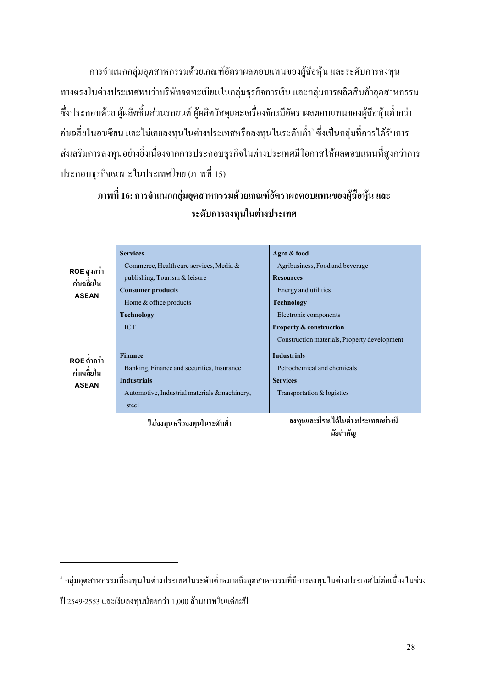การจำแนกกลุ่มอุตสาหกรรมด้วยเกณฑ์อัตราผลตอบแทนของผู้ถือหุ้น และระดับการลงทุน ทางตรงในต่างประเทศพบว่าบริษัทจดทะเบียนในกลุ่มธุรกิจการเงิน และกลุ่มการผลิตสินค้าอุตสาหกรรม ซึ่งประกอบด้วย ผู้ผลิตชิ้นส่วนรถยนต์ ผู้ผลิตวัสดุและเครื่องจักรมีอัตราผลตอบแทนของผู้ถือหุ้นต่ำกว่า ค่าเฉลี่ยในอาเซียน และไม่เคยลงทุนในต่างประเทศหรือลงทุนในระดับต่ำ<sup>ร</sup>์ ซึ่งเป็นกลุ่มที่ควรได้รับการ ส่งเสริมการลงทุนอย่างยิ่งเนื่องจากการประกอบธุรกิจในต่างประเทศมีโอกาสให้ผลตอบแทนที่สูงกว่าการ ประกอบธุรกิจเฉพาะในประเทศไทย (ภาพที่ 15)

### ภาพที่ 16: การจำแนกกลุ่มอุตสาหกรรมด้วยเกณฑ์อัตราผลตอบแทนของผู้ถือหุ้น และ ระดับการลงทุนในต่างประเทศ

|              | <b>Services</b>                               | Agro & food                                     |
|--------------|-----------------------------------------------|-------------------------------------------------|
| ROE สูงกว่า  | Commerce, Health care services, Media $\&$    | Agribusiness, Food and beverage                 |
| ค่าเฉลียใน   | publishing, Tourism & leisure                 | <b>Resources</b>                                |
| <b>ASEAN</b> | <b>Consumer products</b>                      | Energy and utilities                            |
|              | Home $&$ office products                      | <b>Technology</b>                               |
|              | <b>Technology</b>                             | Electronic components                           |
|              | <b>ICT</b>                                    | <b>Property &amp; construction</b>              |
|              |                                               | Construction materials, Property development    |
| ROE ต่ำกว่า  | <b>Finance</b>                                | <b>Industrials</b>                              |
| ค่าเฉลี่ยใน  | Banking, Finance and securities, Insurance    | Petrochemical and chemicals                     |
| <b>ASEAN</b> | <b>Industrials</b>                            | <b>Services</b>                                 |
|              | Automotive, Industrial materials & machinery, | Transportation & logistics                      |
|              | steel                                         |                                                 |
|              | ไม่ลงทุนหรือลงทุนในระดับตำ                    | ลงทุนและมีรายได้ในต่างประเทศอย่างมี<br>นัยสำคัญ |

l.

 $^{\circ}$  กลุ่มอุตสาหกรรมที่ลงทุนในต่างประเทศในระดับต่ำหมายถึงอุตสาหกรรมที่มีการลงทุนในต่างประเทศไม่ต่อเนื่องในช่วง

ปี 2549-2553 และเงินลงทุนน้อยกว่า 1,000 ล้านบาทในแต่ละปี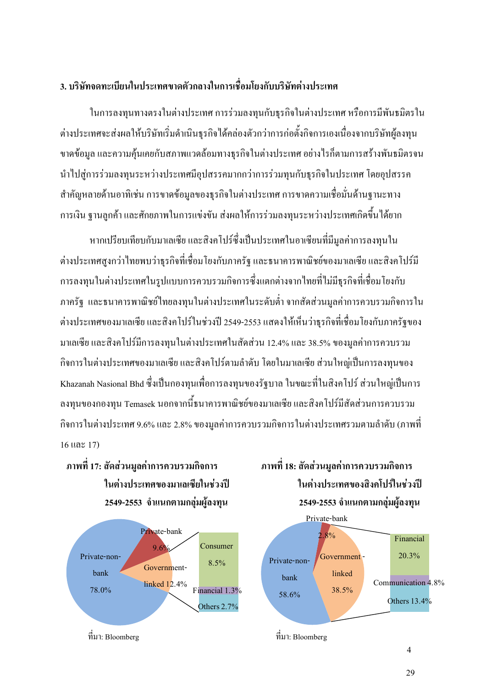#### 3. บริษัทจดทะเบียนในประเทศขาดตัวกลางในการเชื่อมโยงกับบริษัทต่างประเทศ

ในการลงทุนทางตรงในต่างประเทศ การร่วมลงทุนกับธุรกิจในต่างประเทศ หรือการมีพันธมิตรใน ต่างประเทศจะส่งผลให้บริษัทเริ่มดำเนินธุรกิจได้คล่องตัวกว่าการก่อตั้งกิจการเองเนื่องจากบริษัทผู้ลงทุน ขาคข้อมูล และความคุ้นเคยกับสภาพแวคล้อมทางธุรกิจในต่างประเทศ อย่างไรก็ตามการสร้างพันธมิตรจน นำไปสู่การร่วมลงทุนระหว่างประเทศมีอุปสรรคมากกว่าการร่วมทุนกับธุรกิจในประเทศ โดยอุปสรรค สำคัญหลายด้านอาทิเช่น การขาดข้อมูลของธุรกิจในต่างประเทศ การขาดความเชื่อมั่นด้านฐานะทาง การเงิน ฐานลูกค้า และศักยภาพในการแข่งขัน ส่งผลให้การร่วมลงทุนระหว่างประเทศเกิดขึ้นได้ยาก

หากเปรียบเทียบกับมาเลเซีย และสิงคโปร์ซึ่งเป็นประเทศในอาเซียนที่มีมูลค่าการลงทุนใน ต่างประเทศสูงกว่าใทยพบว่าธุรกิจที่เชื่อมโยงกับภาครัฐ และธนาคารพาณิชย์ของมาเลเซีย และสิงคโปร์มี การลงทุนในต่างประเทศในรูปแบบการควบรวมกิจการซึ่งแตกต่างจากไทยที่ไม่มีธุรกิจที่เชื่อมโยงกับ ภาครัฐ และธนาคารพาณิชย์ไทยลงทุนในต่างประเทศในระคับต่ำ จากสัดส่วนมูลค่าการควบรวมกิจการใน ต่างประเทศของมาเลเซีย และสิงคโปร์ในช่วงปี 2549-2553 แสดงให้เห็นว่าธุรกิจที่เชื่อมโยงกับภาครัฐของ มาเลเซีย และสิงคโปร์มีการลงทุนในต่างประเทศในสัดส่วน 12.4% และ 38.5% ของมูลค่าการควบรวม กิจการในต่างประเทศของมาเลเซีย และสิงคโปร์ตามลำดับ โดยในมาเลเซีย ส่วนใหญ่เป็นการลงทุนของ Khazanah Nasional Bhd ซึ่งเป็นกองทุนเพื่อการลงทุนของรัฐบาล ในขณะที่ในสิงคโปร์ ส่วนใหญ่เป็นการ ลงทุนของกองทุน Temasek นอกจากนี้ธนาคารพาณิชย์ของมาเลเซีย และสิงคโปร์มีสัคส่วนการควบรวม กิจการในต่างประเทศ 9.6% และ 2.8% ของมูลค่าการควบรวมกิจการในต่างประเทศรวมตามลำดับ (ภาพที่  $16$   $\mu$ a $\approx$   $17$ )

 ! 17: -5-\$2 3#6\$"6223"+" ! 18: -ในต่างประเทศของมาเลเซียในช่วงปี 2549-2553 จำแนกตามกลุ่มผู้ลงทุน



๊ดส่วนมูลค่าการควบรวมกิจ**การ** ในต่างประเทศของสิงคโปร์ในช่วงปี # 2549-2553 +1 "3"#\$3 # 



 $\dot{\vec{n}}$ มา: Bloomberg  $\dot{\vec{n}}$ มา: Bloomberg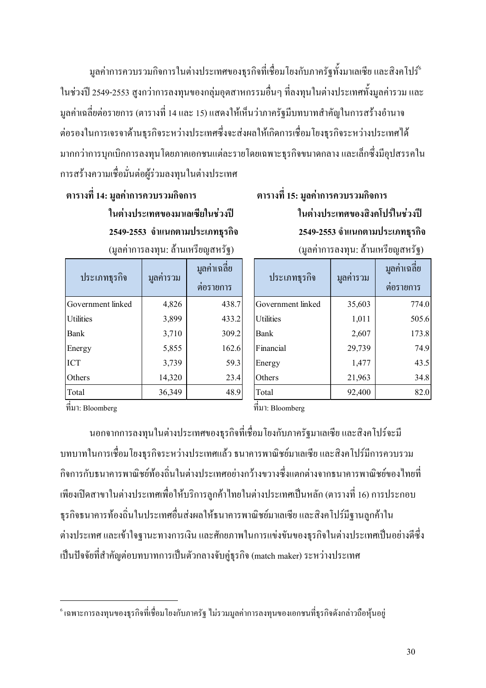มูลค่าการควบรวมกิจการในต่างประเทศของธุรกิจที่เชื่อมโยงกับภาครัฐทั้งมาเลเซีย และสิงคโปร์° ในช่วงปี 2549-2553 สูงกว่าการลงทุนของกลุ่มอุตสาหกรรมอื่นๆ ที่ลงทุนในต่างประเทศทั้งมูลค่ารวม และ มูลค่าเฉลี่ยต่อรายการ (ตารางที่ 14 และ 15) แสดงให้เห็นว่าภาครัฐมีบทบาทสำคัญในการสร้างอำนาจ ต่อรองในการเจรจาค้านธุรกิจระหว่างประเทศซึ่งจะส่งผลให้เกิดการเชื่อมโยงธุรกิจระหว่างประเทศได้ มากกว่าการบุกเบิกการลงทุนโดยภาคเอกชนแต่ละรายโดยเฉพาะธุรกิจขนาดกลาง และเล็กซึ่งมีอุปสรรคใน การสร้างความเชื่อมั่นต่อผู้ร่วมลงทุนในต่างประเทศ

## 14: 3#6\$"6223"+" 15: 3#6\$"6223"+" ในต่างประเทศของมาเลเซียในช่วงปี (มูลค่าการลงทุน: ล้านเหรียญสหรัฐ)

| ประเภทธุรกิจ      | มูลค่ารวม | มูลค่าเฉลี่ย<br>ต่อรายการ |
|-------------------|-----------|---------------------------|
| Government linked | 4,826     | 438.7                     |
| Utilities         | 3,899     | 433.2                     |
| Bank              | 3,710     | 309.2                     |
| Energy            | 5,855     | 162.6                     |
| <b>ICT</b>        | 3,739     | 59.3                      |
| Others            | 14,320    | 23.4                      |
| Total             | 36,349    | 48.9                      |

## ในต่างประเทศของสิงคโปร์ในช่วงปี 2549-2553 จำแนกตามประเภทธุรกิจ 2549-2553 จำแนกตามประเภทธุรกิจ หรียญสหรัฐ) (มูลค่าการลงทุน: ล้านเหรียญสหรัฐ)

| ประเภทธุรกิจ      | มูลค่ารวม | มูลค่าเฉลี่ย<br>ต่อรายการ |
|-------------------|-----------|---------------------------|
| Government linked | 35,603    | 774.0                     |
| Utilities         | 1,011     | 505.6                     |
| Bank              | 2,607     | 173.8                     |
| Financial         | 29,739    | 74.9                      |
| Energy            | 1,477     | 43.5                      |
| Others            | 21,963    | 34.8                      |
| Total             | 92,400    | 82.0                      |

 $\vec{\hat{n}}$ มา: Bloomberg  $\vec{\hat{n}}$ มา: Bloomberg

l.

นอกจากการลงทุนในต่างประเทศของธุรกิจที่เชื่อมโยงกับภาครัฐมาเลเซีย และสิงคโปร์จะมี บทบาทในการเชื่อมโยงธุรกิจระหว่างประเทศแล้ว ธนาคารพาณิชย์มาเลเซีย และสิงคโปร์มีการควบรวม กิจการกับธนาคารพาณิชย์ท้องถิ่นในต่างประเทศอย่างกว้างขวางซึ่งแตกต่างจากธนาคารพาณิชย์ของไทยที่ -พียงเปิดสาขาในต่างประเทศเพื่อให้บริการลูกค้าไทยในต่างประเทศเป็นหลัก (ตารางที่ 16) การประกอบ ธุรกิจธนาคารท้องถิ่นในประเทศอื่นส่งผลให้ธนาคารพาณิชย์มาเลเซีย และสิงคโปร์มีฐานลูกค้าใน ต่างประเทศ และเข้าใจฐานะทางการเงิน และศักยภาพในการแข่งขันของธุรกิจในต่างประเทศเป็นอย่างดีซึ่ง -ปืนปัจจัยที่สำคัญต่อบทบาทการเป็นตัวกลางจับคู่ธุรกิจ (match maker) ระหว่างประเทศ

 $^{\epsilon}$ เฉพาะการลงทุนของธุรกิจที่เชื่อมโยงกับภาครัฐ ไม่รวมมูลค่าการลงทุนของเอกชนที่ธุรกิจดังกล่าวถือหุ้นอยู่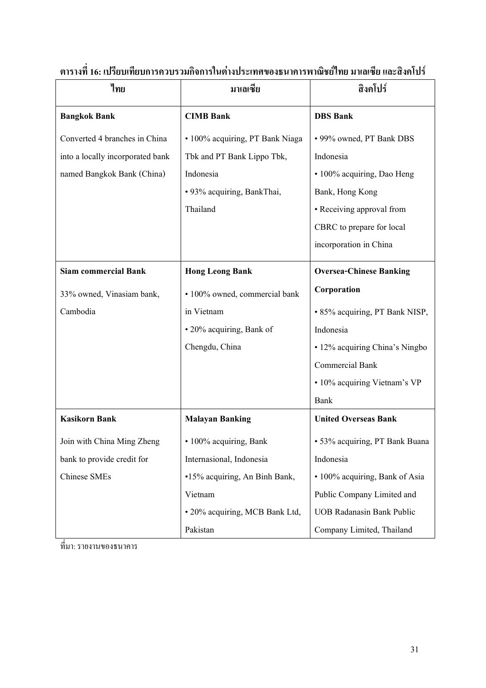| ไทย                              | มาเลเซีย                        | สิงคโปร์                         |
|----------------------------------|---------------------------------|----------------------------------|
| <b>Bangkok Bank</b>              | <b>CIMB Bank</b>                | <b>DBS</b> Bank                  |
| Converted 4 branches in China    | · 100% acquiring, PT Bank Niaga | • 99% owned, PT Bank DBS         |
| into a locally incorporated bank | Tbk and PT Bank Lippo Tbk,      | Indonesia                        |
| named Bangkok Bank (China)       | Indonesia                       | • 100% acquiring, Dao Heng       |
|                                  | · 93% acquiring, BankThai,      | Bank, Hong Kong                  |
|                                  | Thailand                        | • Receiving approval from        |
|                                  |                                 | CBRC to prepare for local        |
|                                  |                                 | incorporation in China           |
| <b>Siam commercial Bank</b>      | <b>Hong Leong Bank</b>          | <b>Oversea-Chinese Banking</b>   |
| 33% owned, Vinasiam bank,        | · 100% owned, commercial bank   | Corporation                      |
| Cambodia                         | in Vietnam                      | • 85% acquiring, PT Bank NISP,   |
|                                  | • 20% acquiring, Bank of        | Indonesia                        |
|                                  | Chengdu, China                  | • 12% acquiring China's Ningbo   |
|                                  |                                 | Commercial Bank                  |
|                                  |                                 | • 10% acquiring Vietnam's VP     |
|                                  |                                 | Bank                             |
| <b>Kasikorn Bank</b>             | <b>Malayan Banking</b>          | <b>United Overseas Bank</b>      |
| Join with China Ming Zheng       | · 100% acquiring, Bank          | · 53% acquiring, PT Bank Buana   |
| bank to provide credit for       | Internasional, Indonesia        | Indonesia                        |
| <b>Chinese SMEs</b>              | •15% acquiring, An Binh Bank,   | · 100% acquiring, Bank of Asia   |
|                                  | Vietnam                         | Public Company Limited and       |
|                                  | · 20% acquiring, MCB Bank Ltd,  | <b>UOB Radanasin Bank Public</b> |
|                                  | Pakistan                        | Company Limited, Thailand        |

ตารางที่ 16: เปรียบเทียบการควบรวมกิจการในต่างประเทศของธนาคารพาณิชย์ไทย มาเลเซีย และสิงคโปร์

ที่มา: รายงานของธนาคาร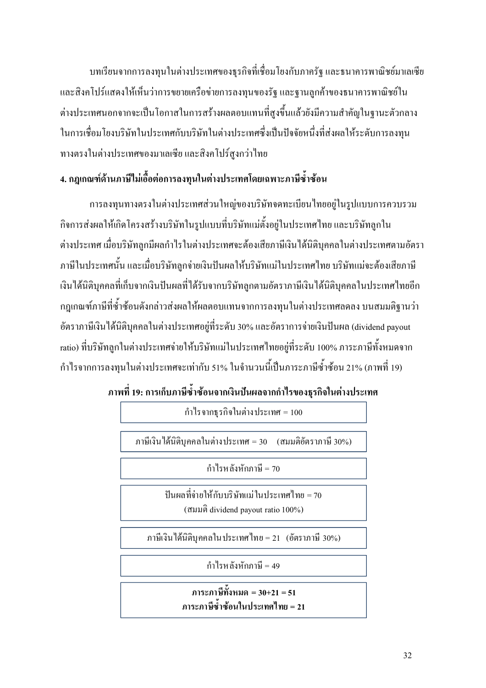้บทเรียนจากการลงทุนในต่างประเทศของธุรกิจที่เชื่อมโยงกับภาครัฐ และธนาคารพาณิชย์มาเลเซีย และสิงคโปร์แสดงให้เห็นว่าการขยายเครือข่ายการลงทุนของรัฐ และฐานลูกค้าของธนาคารพาณิชย์ใน ้ต่างประเทศนอกจากจะเป็นโอกาสในการสร้างผลตอบแทนที่สงขึ้นแล้วยังมีความสำคัญในฐานะตัวกลาง ในการเชื่อมโยงบริษัทในประเทศกับบริษัทในต่างประเทศซึ่งเป็นปัจจัยหนึ่งที่ส่งผลให้ระดับการลงทน ทางตรงในต่างประเทศของมาเลเซีย และสิงคโปร์สูงกว่าไทย

### 4. กฎเกณฑ์ด้านภาษีใม่เอื้อต่อการลงทุนในต่างประเทศโดยเฉพาะภาษีซ้ำซ้อน

การลงทุนทางตรงในต่างประเทศส่วนใหญ่ของบริษัทจดทะเบียนไทยอยู่ในรูปแบบการควบรวม ้กิจการส่งผลให้เกิดโครงสร้างบริษัทในรูปแบบที่บริษัทแม่ตั้งอยู่ในประเทศไทย และบริษัทลูกใน ้ต่างประเทศ เมื่อบริษัทลูกมีผลกำไรในต่างประเทศจะต้องเสียภาษีเงินได้นิติบุคคลในต่างประเทศตามอัตรา ภาษีในประเทศนั้น และเมื่อบริษัทลูกจ่ายเงินปันผลให้บริษัทแม่ในประเทศไทย บริษัทแม่จะต้องเสียภาษี ้เงินได้นิติบคคลที่เก็บจากเงินปันผลที่ได้รับจากบริษัทลกตามอัตราภาษีเงินได้นิติบคคลในประเทศไทยอีก ึกฎเกณฑ์ภาษีที่ซ้ำซ้อนดังกล่าวส่งผลให้ผลตอบแทนจากการลงทุนในต่างประเทศลดลง บนสมมติฐานว่า อัตราภาษีเงินได้นิติบคคลในต่างประเทศอย่ที่ระดับ 30% และอัตราการจ่ายเงินปันผล (dividend pavout ratio) ที่บริษัทลูกในต่างประเทศจ่ายให้บริษัทแม่ในประเทศไทยอยู่ที่ระดับ 100% ภาระภาษีทั้งหมดจาก ้กำไรจากการลงทุนในต่างประเทศจะเท่ากับ 51% ในจำนวนนี้เป็นภาระภาษีซ้ำซ้อน 21% (ภาพที่ 19)

#### ึภาพที่ 19: การเก็บภาษีซ้ำซ้อนจากเงินปันผลจากกำไรของธุรกิจในต่างประเทศ

กำไรจากธุรกิจในต่างประเทศ =  $100$ 

ภาษีเงิน ได้นิติบุคคลในต่างประเทศ = 30 (สมมติอัตราภาษี 30%)

กำไรหลังหักภาษี = 70

ป็นผลที่จ่ายให้กับบริษัทแม่ในประเทศไทย = 70 (สมมติ dividend payout ratio 100%)

ภาษีเงินใด้นิติบุคคลในประเทศไทย = 21 (อัตราภาษี 30%)

กำไรหลังหักภาษี = 49

ภาระภาษีทั้งหมด = 30+21 = 51 ภาระภาษีซ้ำซ้อนในประเทศไทย = 21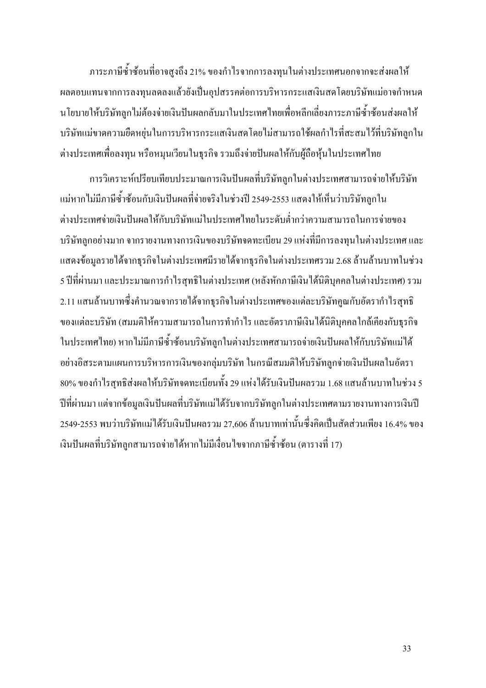ภาระภาษีซ้ำซ้อนที่อาจสูงถึง 21% ของกำไรจากการลงทุนในต่างประเทศนอกจากจะส่งผลให้ ผลตอบแทนจากการลงทุนลดลงแล้วยังเป็นอุปสรรคต่อการบริหารกระแสเงินสดโดยบริษัทแม่อาจกำหนด นโยบายให้บริษัทลูกไม่ต้องจ่ายเงินปันผลกลับมาในประเทศไทยเพื่อหลีกเลี่ยงภาระภาษีซ้ำซ้อนส่งผลให้ บริษัทแม่ขาดความยืดหยุ่นในการบริหารกระแสเงินสดโดยไม่สามารถใช้ผลกำไรที่สะสมไว้ที่บริษัทลูกใน ต่างประเทศเพื่อลงทุน หรือหมุนเวียนในธุรกิจ รวมถึงจ่ายปันผลให้กับผู้ถือหุ้นในประเทศไทย

การวิเคราะห์เปรียบเทียบประมาณการเงินปันผลที่บริษัทลูกในต่างประเทศสามารถจ่ายให้บริษัท -แม่หากไม่มีภาษีซ้ำซ้อนกับเงินปันผลที่จ่ายจริงในช่วงปี 2549-2553 แสดงให้เห็นว่าบริษัทลูกใน ต่างประเทศจ่ายเงินปันผลให้กับบริษัทแม่ในประเทศไทยในระดับต่ำกว่าความสามารถในการจ่ายของ บริษัทลูกอย่างมาก จากรายงานทางการเงินของบริษัทจดทะเบียน 29 แห่งที่มีการลงทุนในต่างประเทศ และ แสดงข้อมูลรายใด้จากธุรกิจในต่างประเทศมีรายใด้จากธุรกิจในต่างประเทศรวม 2.68 ล้านล้านบาทในช่วง 5 ปีที่ผ่านมา และประมาณการกำไรสุทธิในต่างประเทศ (หลังหักภาษีเงินได้นิติบุคคลในต่างประเทศ) รวม 2.11 แสนล้านบาทซึ่งคำนวณจากรายใด้จากธุรกิจในต่างประเทศของแต่ละบริษัทคูณกับอัตรากำไรสุทธิ ของแต่ละบริษัท (สมมติให้ความสามารถในการทำกำไร และอัตราภาษีเงินได้นิติบุคคลใกล้เคียงกับธุรกิจ ในประเทศไทย) หากไม่มีภาษีซ้ำซ้อนบริษัทลูกในต่างประเทศสามารถจ่ายเงินปันผลให้กับบริษัทแม่ได้ อย่างอิสระตามแผนการบริหารการเงินของกลุ่มบริษัท ในกรณีสมมติให้บริษัทลูกจ่ายเงินปันผลในอัตรา 80% ของกำไรสุทธิส่งผลให้บริษัทจคทะเบียนทั้ง 29 แห่งได้รับเงินปันผลรวม 1.68 แสนล้านบาทในช่วง 5 ปีที่ผ่านมา แต่จากข้อมูลเงินปันผลที่บริษัทแม่ได้รับจากบริษัทลูกในต่างประเทศตามรายงานทางการเงินปี 2549-2553 พบว่าบริษัทแม่ได้รับเงินปันผลรวม 27,606 ล้านบาทเท่านั้นซึ่งคิดเป็นสัดส่วนเพียง 16.4% ของ -งินปันผลที่บริษัทลูกสามารถจ่ายได้หากไม่มีเงื่อนไขจากภาษีซ้ำซ้อน (ตารางที่ 17)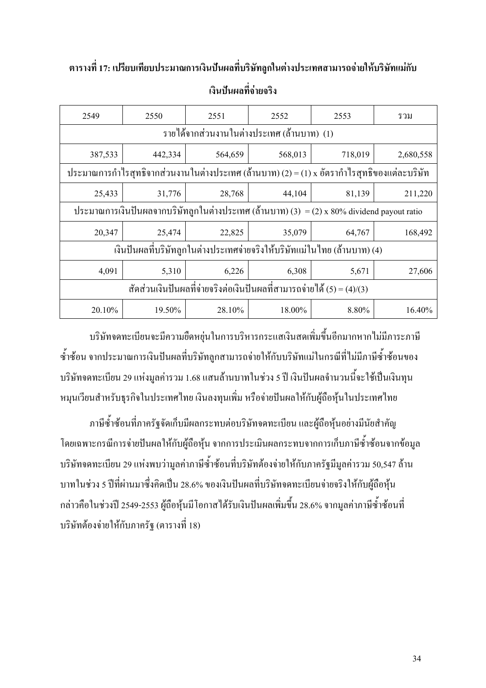### ตารางที่ 17: เปรียบเทียบประมาณการเงินปันผลที่บริษัทลูกในต่างประเทศสามารถจ่ายให้บริษัทแม่กับ เงินปันผลที่จ่ายจริง

| 2549                                                                                        | 2550                                                                                       | 2551    | 2552    | 2553    | รวม       |  |  |  |  |
|---------------------------------------------------------------------------------------------|--------------------------------------------------------------------------------------------|---------|---------|---------|-----------|--|--|--|--|
| รายใด้จากส่วนงานในต่างประเทศ (ถ้านบาท) (1)                                                  |                                                                                            |         |         |         |           |  |  |  |  |
| 387,533                                                                                     | 442,334                                                                                    | 564,659 | 568,013 | 718,019 | 2,680,558 |  |  |  |  |
| ประมาณการกำไรสุทธิจากส่วนงานในต่างประเทศ (ถ้านบาท) (2) = (1) x อัตรากำไรสุทธิของแต่ละบริษัท |                                                                                            |         |         |         |           |  |  |  |  |
| 25,433                                                                                      | 31,776                                                                                     | 28,768  | 44,104  | 81,139  | 211,220   |  |  |  |  |
|                                                                                             | ประมาณการเงินปันผลจากบริษัทลูกในต่างประเทศ (ถ้านบาท) (3) = (2) x 80% dividend payout ratio |         |         |         |           |  |  |  |  |
| 20,347                                                                                      | 25,474                                                                                     | 22,825  | 35,079  | 64,767  | 168,492   |  |  |  |  |
|                                                                                             | เงินปันผลที่บริษัทลูกในต่างประเทศจ่ายจริงให้บริษัทแม่ในไทย (ล้านบาท) (4)                   |         |         |         |           |  |  |  |  |
| 4,091                                                                                       | 5,310                                                                                      | 6,226   | 6,308   | 5,671   | 27,606    |  |  |  |  |
|                                                                                             | สัดส่วนเงินปันผลที่จ่ายจริงต่อเงินปันผลที่สามารถจ่ายใด้ (5) = (4)/(3)                      |         |         |         |           |  |  |  |  |
| 20.10%                                                                                      | 19.50%                                                                                     | 28.10%  | 18.00%  | 8.80%   | 16.40%    |  |  |  |  |

บริษัทจคทะเบียนจะมีความยืดหยุ่นในการบริหารกระแสเงินสดเพิ่มขึ้นอีกมากหากใม่มีภาระภาษี ซ้ำซ้อน จากประมาณการเงินปันผลที่บริษัทลูกสามารถจ่ายให้กับบริษัทแม่ในกรณีที่ไม่มีภาษีซ้ำซ้อนของ บริษัทจดทะเบียน 29 แห่งมูลค่ารวม 1.68 แสนล้านบาทในช่วง 5 ปี เงินปันผลจำนวนนี้จะใช้เป็นเงินทุน หมุนเวียนสำหรับธุรกิจในประเทศไทย เงินลงทุนเพิ่ม หรือจ่ายปันผลให้กับผู้ถือหุ้นในประเทศไทย

ภาษีซ้ำซ้อนที่ภาครัฐจัดเก็บมีผลกระทบต่อบริษัทจดทะเบียน และผู้ถือหุ้นอย่างมีนัยสำคัญ โดยเฉพาะกรณีการจ่ายปันผลให้กับผู้ถือหุ้น จากการประเมินผลกระทบจากการเก็บภาษีซ้ำซ้อนจากข้อมูล บริษัทจดทะเบียน 29 แห่งพบว่ามูลค่าภาษีซ้ำซ้อนที่บริษัทต้องจ่ายให้กับภาครัฐมีมูลค่ารวม 50,547 ล้าน บาทในช่วง 5 ปีที่ผ่านมาซึ่งคิดเป็น 28.6% ของเงินปันผลที่บริษัทจดทะเบียนจ่ายจริงให้กับผู้ถือหุ้น กล่าวคือในช่วงปี 2549-2553 ผู้ถือหุ้นมีโอกาส ได้รับเงินปันผลเพิ่มขึ้น 28.6% จากมูลค่าภาษีซ้ำซ้อนที่ บริษัทต้องจ่ายให้กับภาครัฐ (ตารางที่ 18)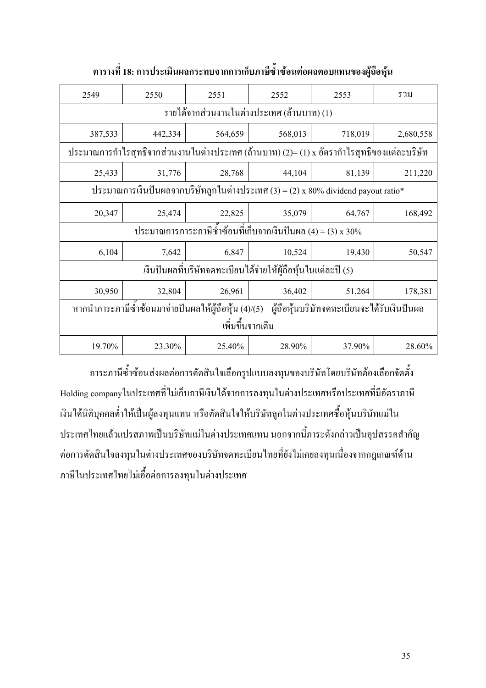| 2549                                                                                              | 2550                                                                                       | 2551                                                         | 2552    | 2553    | รวม       |  |  |  |  |
|---------------------------------------------------------------------------------------------------|--------------------------------------------------------------------------------------------|--------------------------------------------------------------|---------|---------|-----------|--|--|--|--|
| รายใด้จากส่วนงานในต่างประเทศ (ถ้านบาท) (1)                                                        |                                                                                            |                                                              |         |         |           |  |  |  |  |
| 387,533                                                                                           | 442,334                                                                                    | 564,659                                                      | 568,013 | 718,019 | 2,680,558 |  |  |  |  |
|                                                                                                   | ประมาณการกำไรสุทธิจากส่วนงานในต่างประเทศ (ถ้านบาท) (2)= (1) x อัตรากำไรสุทธิของแต่ละบริษัท |                                                              |         |         |           |  |  |  |  |
| 25,433                                                                                            | 31,776                                                                                     | 28,768                                                       | 44,104  | 81,139  | 211,220   |  |  |  |  |
| ประมาณการเงินปันผลจากบริษัทลูกในต่างประเทศ $(3) = (2) \times 80\%$ dividend payout ratio*         |                                                                                            |                                                              |         |         |           |  |  |  |  |
| 20,347                                                                                            | 25,474                                                                                     | 22,825                                                       | 35,079  | 64,767  | 168,492   |  |  |  |  |
|                                                                                                   |                                                                                            | ประมาณการภาระภาษีซ้ำซ้อนที่เก็บจากเงินปันผล (4) = (3) x 30%  |         |         |           |  |  |  |  |
| 6,104                                                                                             | 7,642                                                                                      | 6,847                                                        | 10,524  | 19,430  | 50,547    |  |  |  |  |
|                                                                                                   |                                                                                            | เงินปันผลที่บริษัทจดทะเบียนใด้จ่ายให้ผู้ถือหุ้นในแต่ละปี (5) |         |         |           |  |  |  |  |
| 30,950                                                                                            | 32,804                                                                                     | 26,961                                                       | 36,402  | 51,264  | 178,381   |  |  |  |  |
| หากนำภาระภาษีซ้ำซ้อนมาจ่ายปั้นผลให้ผู้ถือหุ้น (4)/(5) ผู้ถือหุ้นบริษัทจดทะเบียนจะใด้รับเงินปั้นผล |                                                                                            |                                                              |         |         |           |  |  |  |  |
|                                                                                                   |                                                                                            | เพิ่มขึ้นจากเคิม                                             |         |         |           |  |  |  |  |
| 19.70%                                                                                            | 23.30%                                                                                     | 25.40%                                                       | 28.90%  | 37.90%  | 28.60%    |  |  |  |  |

ตารางที่ 18: การประเมินผลกระทบจากการเก็บภาษีซ้ำซ้อนต่อผลตอบแทนของผู้ถือหุ้น

ภาระภาษีซ้ำซ้อนส่งผลต่อการตัดสินใจเลือกรูปแบบลงทุนของบริษัทโดยบริษัทต้องเลือกจัดตั้ง Holding companyในประเทศที่ไม่เก็บภาษีเงินได้จากการลงทุนในต่างประเทศหรือประเทศที่มีอัตราภาษี -งินใด้นิติบุคคลต่ำให้เป็นผู้ลงทุนแทน หรือตัดสินใจให้บริษัทลูกในต่างประเทศซื้อหุ้นบริษัทแม่ใน ประเทศไทยแล้วแปรสภาพเป็นบริษัทแม่ในต่างประเทศแทน นอกจากนี้ภาระดังกล่าวเป็นอุปสรรคสำคัญ -ต่อการตัดสินใจลงทุนในต่างประเทศของบริษัทจดทะเบียนไทยที่ยังไม่เคยลงทุนเนื่องจากกฎเกณฑ์ด้าน ภาษีในประเทศไทยไม่เอื้อต่อการลงทุนในต่างประเทศ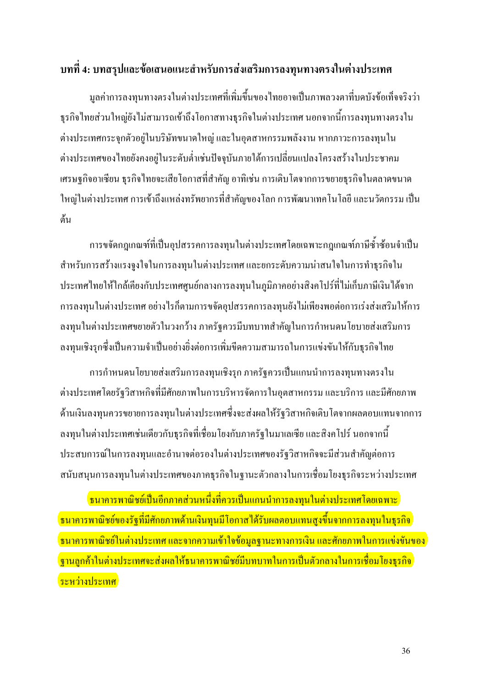#### ีบทที่ 4: บทสรุปและข้อเสนอแนะสำหรับการส่งเสริมการลงทุนทางตรงในต่างประเทศ

มูลค่าการลงทุนทางตรงในต่างประเทศที่เพิ่มขึ้นของไทยอาจเป็นภาพลวงตาที่บดบังข้อเท็จจริงว่า ี่ ธุรกิจไทยส่วนใหญ่ยังไม่สามารถเข้าถึงโอกาสทางธุรกิจในต่างประเทศ นอกจากนี้การลงทุนทางตรงใน ้ต่างประเทศกระจุกตัวอยู่ในบริษัทขนาดใหญ่ และในอุตสาหกรรมพลังงาน หากภาวะการลงทุนใน ต่างประเทศของไทยยังคงอยู่ในระดับต่ำเช่นปัจจุบันภายใต้การเปลี่ยนแปลงโครงสร้างในประชาคม เศรษฐกิจอาเซียน ธุรกิจไทยจะเสียโอกาสที่สำคัญ อาทิเช่น การเติบโตจากการขยายธุรกิจในตลาดขนาด ใหญ่ในต่างประเทศ การเข้าถึงแหล่งทรัพยากรที่สำคัญของโลก การพัฒนาเทคโนโลยี และนวัตกรรม เป็น ด้น

้การขจัดกฎเกณฑ์ที่เป็นอุปสรรคการลงทุนในต่างประเทศโดยเฉพาะกฎเกณฑ์ภาษีซ้ำซ้อนจำเป็น ี สำหรับการสร้างแรงจูงใจในการลงทุนในต่างประเทศ และยกระดับความน่าสนใจในการทำธุรกิจใน ประเทศไทยให้ใกล้เคียงกับประเทศศูนย์กลางการลงทุนในภูมิภาคอย่างสิงคโปร์ที่ไม่เก็บภาษีเงินได้จาก ึการลงทุนในต่างประเทศ อย่างไรก็ตามการขจัดอุปสรรคการลงทุนยังไม่เพียงพอต่อการเร่งส่งเสริมให้การ ้ลงทุนในต่างประเทศขยายตัวในวงกว้าง ภาครัฐควรมีบทบาทสำคัญในการกำหนดนโยบายส่งเสริมการ ิลงทนเชิงรกซึ่งเป็นความจำเป็นอย่างยิ่งต่อการเพิ่มขีดความสามารถในการแข่งขันให้กับธรกิจไทย

ิการกำหนดนโยบายส่งเสริมการลงทุนเชิงรุก ภาครัฐควรเป็นแกนนำการลงทุนทางตรงใน ต่างประเทศโดยรัฐวิสาหกิจที่มีศักยภาพในการบริหารจัดการในอุตสาหกรรม และบริการ และมีศักยภาพ ด้านเงินลงทุนควรขยายการลงทุนในต่างประเทศซึ่งจะส่งผลให้รัฐวิสาหกิจเติบโตจากผลตอบแทนจากการ ิลงทนในต่างประเทศเช่นเดียวกับธรกิจที่เชื่อมโยงกับภาครัฐในมาเลเซีย และสิงคโปร์ นอกจากนี้ ประสบการณ์ในการลงทนและอำนาจต่อรองในต่างประเทศของรัฐวิสาหกิจจะมีส่วนสำคัญต่อการ ิสนับสนุนการลงทุนในต่างประเทศของภาคธุรกิจในฐานะตัวกลางในการเชื่อมโยงธุรกิจระหว่างประเทศ

<mark>้ ธนาคารพาณิชย์เป็นอีกภาคส่วนหนึ่งที่ควรเป็นแกนนำการลงทุนในต่างประเทศโดยเฉพาะ </mark> <mark>์ ธนาคารพาณิชย์ของรัฐที่มีศักยภาพด้านเงินทุนมีโอกาสได้รับผลตอบแทนสูงขึ้นจากการลงทุนในธุรกิจ</mark> ) <mark>์ ธนาคารพาณิชย์ในต่างประเทศ และจากความเข้าใจข้อมลฐานะทางการเงิน และศักยภาพในการแข่งขันของ</mark> <mark>์ ฐานลูกค้าในต่างประเทศจะส่งผลให้ธนาคารพาณิชย์มีบทบาทในการเป็นตัวกลางในการเชื่อมโยงธุรกิจ</mark> ) <mark>์ระหว่างประเทศ</mark>

36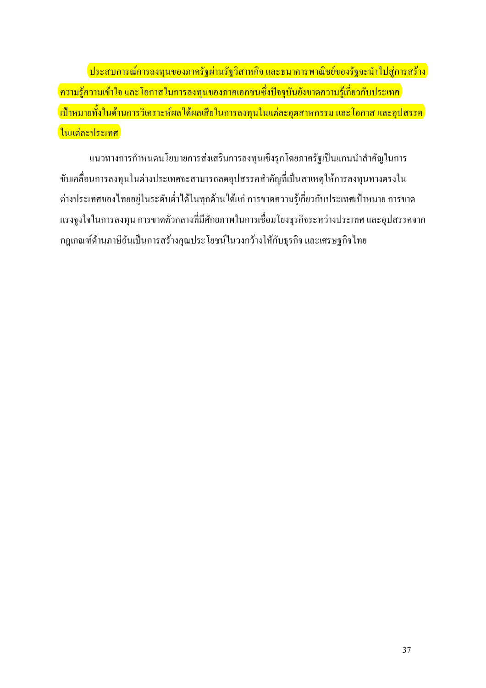<mark>์ ประสบการณ์การลงทุนของภาครัฐผ่านรัฐวิสาหกิจ และธนาคารพาณิชย์ของรัฐจะนำไปสู่การสร้าง</mark> <mark>์ ความรู้ความเข้าใจ และ โอกาสในการลงทุนของภาคเอกชนซึ่งปัจจุบันยังขาดความรู้เกี่ยวกับประเทศ</mark> <mark>้เป้าหมายทั้งในด้านการวิเคราะห์ผลได้ผลเสียในการลงทนในแต่ละอตสาหกรรม และโอกาส และอปสรรค</mark> <mark>์ในแต่ละประเทศ</mark>

แนวทางการกำหนดนโยบายการส่งเสริมการลงทุนเชิงรุกโดยภาครัฐเป็นแกนนำสำคัญในการ ขับเคลื่อนการลงทุนในต่างประเทศจะสามารถลดอุปสรรคสำคัญที่เป็นสาเหตุให้การลงทุนทางตรงใน ต่างประเทศของไทยอยู่ในระดับต่ำได้ในทุกด้านได้แก่ การขาดความรู้เกี่ยวกับประเทศเป้าหมาย การขาด แรงจูงใจในการลงทุน การขาดตัวกลางที่มีศักยภาพในการเชื่อมโยงธุรกิจระหว่างประเทศ และอุปสรรคจาก ึกฎเกณฑ์ด้านภาษีอันเป็นการสร้างคุณประโยชน์ในวงกว้างให้กับธุรกิจ และเศรษฐกิจไทย